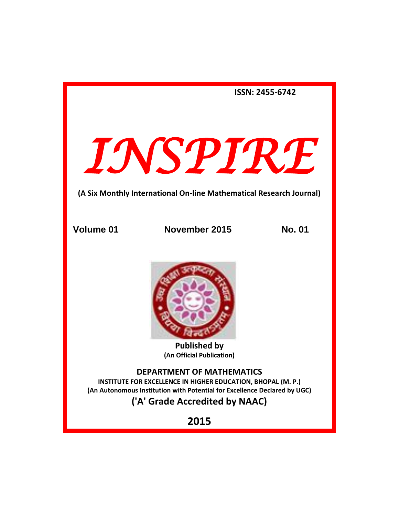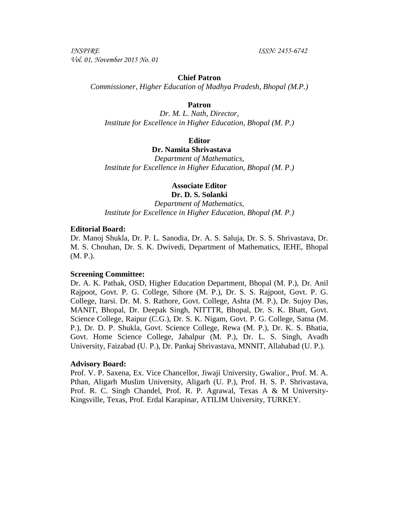#### **Chief Patron**

*Commissioner, Higher Education of Madhya Pradesh, Bhopal (M.P.)*

#### **Patron**

*Dr. M. L. Nath, Director, Institute for Excellence in Higher Education, Bhopal (M. P.)*

#### **Editor**

#### **Dr. Namita Shrivastava**

*Department of Mathematics, Institute for Excellence in Higher Education, Bhopal (M. P.)*

> **Associate Editor Dr. D. S. Solanki**

#### *Department of Mathematics, Institute for Excellence in Higher Education, Bhopal (M. P.)*

#### **Editorial Board:**

Dr. Manoj Shukla, Dr. P. L. Sanodia, Dr. A. S. Saluja, Dr. S. S. Shrivastava, Dr. M. S. Chouhan, Dr. S. K. Dwivedi, Department of Mathematics, IEHE, Bhopal (M. P.).

#### **Screening Committee:**

Dr. A. K. Pathak, OSD, Higher Education Department, Bhopal (M. P.), Dr. Anil Rajpoot, Govt. P. G. College, Sihore (M. P.), Dr. S. S. Rajpoot, Govt. P. G. College, Itarsi. Dr. M. S. Rathore, Govt. College, Ashta (M. P.), Dr. Sujoy Das, MANIT, Bhopal, Dr. Deepak Singh, NITTTR, Bhopal, Dr. S. K. Bhatt, Govt. Science College, Raipur (C.G.), Dr. S. K. Nigam, Govt. P. G. College, Satna (M. P.), Dr. D. P. Shukla, Govt. Science College, Rewa (M. P.), Dr. K. S. Bhatia, Govt. Home Science College, Jabalpur (M. P.), Dr. L. S. Singh, Avadh University, Faizabad (U. P.), Dr. Pankaj Shrivastava, MNNIT, Allahabad (U. P.).

#### **Advisory Board:**

Prof. V. P. Saxena, Ex. Vice Chancellor, Jiwaji University, Gwalior., Prof. M. A. Pthan, Aligarh Muslim University, Aligarh (U. P.), Prof. H. S. P. Shrivastava, Prof. R. C. Singh Chandel, Prof. R. P. Agrawal, Texas A & M University-Kingsville, Texas, Prof. Erdal Karapinar, ATILIM University, TURKEY.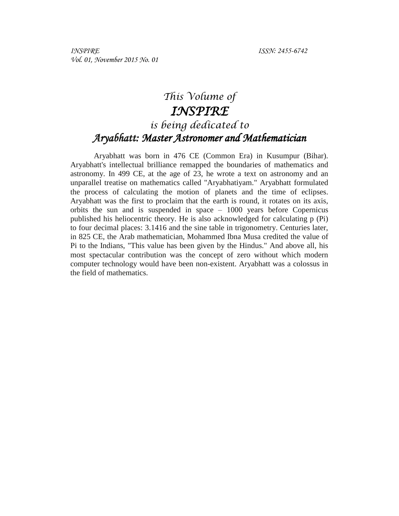# *This Volume of INSPIRE is being dedicated to Aryabhatt: Master Astronomer and Mathematician*

Aryabhatt was born in 476 CE (Common Era) in Kusumpur (Bihar). Aryabhatt's intellectual brilliance remapped the boundaries of mathematics and astronomy. In 499 CE, at the age of 23, he wrote a text on astronomy and an unparallel treatise on mathematics called "Aryabhatiyam." Aryabhatt formulated the process of calculating the motion of planets and the time of eclipses. Aryabhatt was the first to proclaim that the earth is round, it rotates on its axis, orbits the sun and is suspended in space – 1000 years before Copernicus published his heliocentric theory. He is also acknowledged for calculating p (Pi) to four decimal places: 3.1416 and the sine table in trigonometry. Centuries later, in 825 CE, the Arab mathematician, Mohammed Ibna Musa credited the value of Pi to the Indians, "This value has been given by the Hindus." And above all, his most spectacular contribution was the concept of zero without which modern computer technology would have been non-existent. Aryabhatt was a colossus in the field of mathematics.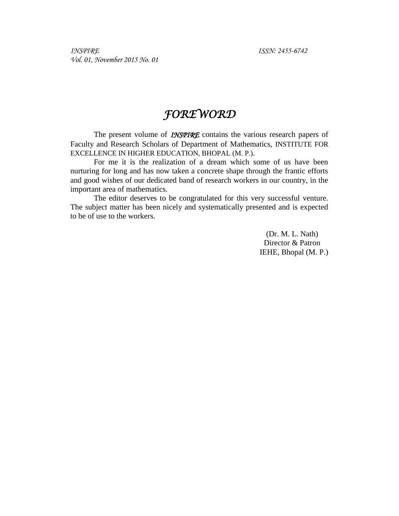# *FOREWORD*

The present volume of *INSPIRE* contains the various research papers of Faculty and Research Scholars of Department of Mathematics, INSTITUTE FOR EXCELLENCE IN HIGHER EDUCATION, BHOPAL (M. P.).

For me it is the realization of a dream which some of us have been nurturing for long and has now taken a concrete shape through the frantic efforts and good wishes of our dedicated band of research workers in our country, in the important area of mathematics.

The editor deserves to be congratulated for this very successful venture. The subject matter has been nicely and systematically presented and is expected to be of use to the workers.

> (Dr. M. L. Nath) Director & Patron IEHE, Bhopal (M. P.)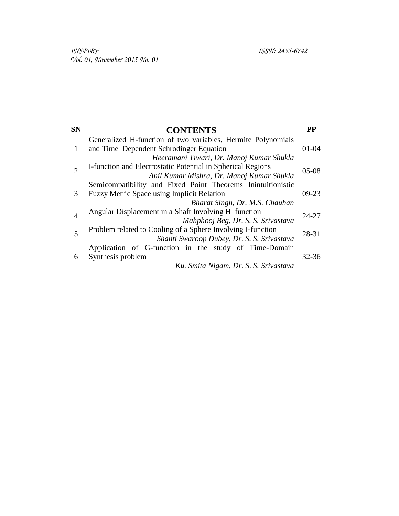| <b>SN</b> | <b>CONTENTS</b>                                              | РP        |
|-----------|--------------------------------------------------------------|-----------|
|           | Generalized H-function of two variables, Hermite Polynomials |           |
|           | and Time-Dependent Schrodinger Equation                      | $01 - 04$ |
|           | Heeramani Tiwari, Dr. Manoj Kumar Shukla                     |           |
|           | I-function and Electrostatic Potential in Spherical Regions  | $05-08$   |
|           | Anil Kumar Mishra, Dr. Manoj Kumar Shukla                    |           |
|           | Semicompatibility and Fixed Point Theorems Inintuitionistic  |           |
| 3         | <b>Fuzzy Metric Space using Implicit Relation</b>            | $09 - 23$ |
|           | Bharat Singh, Dr. M.S. Chauhan                               |           |
| 4         | Angular Displacement in a Shaft Involving H-function         | $24 - 27$ |
|           | Mahphooj Beg, Dr. S. S. Srivastava                           |           |
| 5         | Problem related to Cooling of a Sphere Involving I-function  | 28-31     |
|           | Shanti Swaroop Dubey, Dr. S. S. Srivastava                   |           |
|           | Application of G-function in the study of Time-Domain        |           |
| 6         | Synthesis problem                                            | $32 - 36$ |
|           | Ku. Smita Nigam, Dr. S. S. Srivastava                        |           |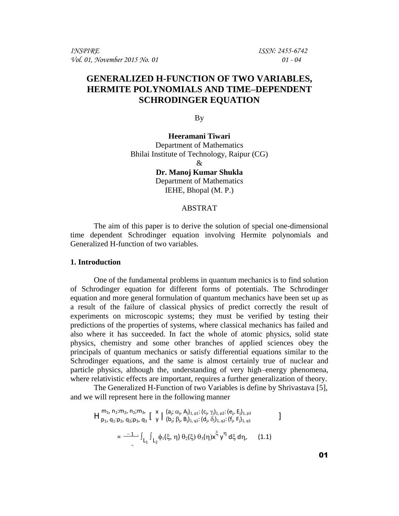# **GENERALIZED H-FUNCTION OF TWO VARIABLES, HERMITE POLYNOMIALS AND TIME–DEPENDENT SCHRODINGER EQUATION**

By

**Heeramani Tiwari**  Department of Mathematics Bhilai Institute of Technology, Raipur (CG) & **Dr. Manoj Kumar Shukla**

> Department of Mathematics IEHE, Bhopal (M. P.)

#### ABSTRAT

The aim of this paper is to derive the solution of special one-dimensional time dependent Schrodinger equation involving Hermite polynomials and Generalized H-function of two variables.

#### **1. Introduction**

One of the fundamental problems in quantum mechanics is to find solution of Schrodinger equation for different forms of potentials. The Schrodinger equation and more general formulation of quantum mechanics have been set up as a result of the failure of classical physics of predict correctly the result of experiments on microscopic systems; they must be verified by testing their predictions of the properties of systems, where classical mechanics has failed and also where it has succeeded. In fact the whole of atomic physics, solid state physics, chemistry and some other branches of applied sciences obey the principals of quantum mechanics or satisfy differential equations similar to the Schrodinger equations, and the same is almost certainly true of nuclear and particle physics, although the, understanding of very high–energy phenomena, where relativistic effects are important, requires a further generalization of theory.

The Generalized H-Function of two Variables is define by Shrivastava [5], and we will represent here in the following manner

$$
H_{p_1, q_1; p_2, q_2; p_3, q_3}^{m_1, m_2, n_2; m_3} \left[ \begin{array}{c} x \\ y \end{array} \right] \left[ \begin{array}{c} (a_j; \alpha_j, A_j)_{1, p_1}: (c_j, \gamma_j)_{1, p_2}: (e_j, E_j)_{1, p_3} \\ (b_j; \beta_j, B_j)_{1, q_1}: (d_j, \delta_j)_{1, q_2}: (f_j, F_j)_{1, q_3} \end{array} \right]
$$

$$
= \frac{-1}{\sum_{i=1}^{n} \int_{L_1} \int_{L_2} \phi_1(\xi, \eta) \theta_2(\xi) \theta_3(\eta) x^{\xi} y^{\eta} d\xi d\eta, \qquad (1.1)
$$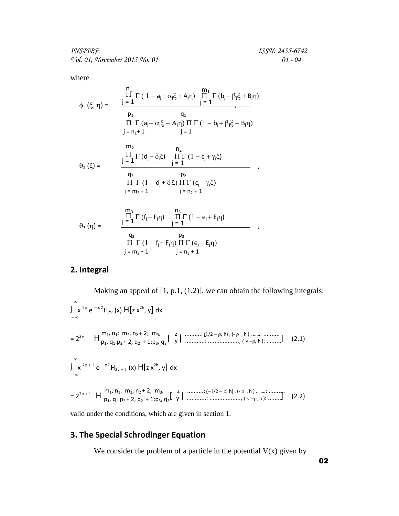where

$$
\phi_{1} (\xi, \eta) = \frac{\prod_{j=1}^{n_{1}} \Gamma(1-a_{j} + \alpha_{j}\xi + A_{j}\eta) \prod_{j=1}^{m_{1}} \Gamma(b_{j} - \beta_{j}\xi + B_{j}\eta)}{\prod_{j=1}^{n_{1}} \Gamma(a_{j} - \alpha_{j}\xi - A_{j}\eta) \prod_{j=1}^{n_{1}} \Gamma(1-b_{j} + \beta_{j}\xi + B_{j}\eta)}
$$
\n
$$
j = n_{1} + 1 \qquad j = 1
$$
\n
$$
\theta_{2} (\xi) = \frac{\prod_{j=1}^{m_{2}} \Gamma(d_{j} - \delta_{j}\xi) \prod_{j=1}^{n_{2}} \Gamma(1-c_{j} + \gamma_{j}\xi)}{\prod_{j=1}^{m_{2}} \Gamma(1-d_{j} + \delta_{j}\xi) \prod \Gamma(c_{j} - \gamma_{j}\xi)}
$$
\n
$$
j = m_{2} + 1 \qquad j = n_{2} + 1
$$
\n
$$
\theta_{3} (\eta) = \frac{\prod_{j=1}^{m_{3}} \Gamma(f_{j} - F_{j}\eta) \prod_{j=1}^{n_{3}} \Gamma(1-e_{j} + E_{j}\eta)}{\prod_{j=1}^{m_{3}} \Gamma(1-f_{j} + F_{j}\eta) \prod \Gamma(e_{j} - E_{j}\eta)}
$$
\n
$$
j = m_{3} + 1 \qquad j = n_{3} + 1
$$
\n
$$
\phi_{3} (\eta) = \frac{\prod_{j=1}^{m_{3}} \Gamma(1-f_{j} + F_{j}\eta) \prod \Gamma(e_{j} - E_{j}\eta)}{\prod_{j=1}^{m_{3}} \prod_{j=1}^{m_{3}} \Gamma(1-f_{j} + F_{j}\eta) \prod \Gamma(e_{j} - E_{j}\eta)}
$$

# **2. Integral**

Making an appeal of  $[1, p.1, (1.2)]$ , we can obtain the following integrals:  $\infty$  $\int_{-\infty}$   $x^{2p} e^{-x^2} H_{2v}(x) H[z x^{2h}, y] dx$ = 2<sup>2</sup> H [ | ] (2.1) m1, n1: m2, n2 + 2; m3,  $\infty$  $\int_{-\infty}$   $x^{2p+1} e^{-x^2} H_{2v+1}(x) H[z x^{2h}, y] dx$ = 2<sup>2</sup>H [ | ] (2.2) m1, n1: m2, n2 + 2; m3, 2  $p_1$ ,  $q_1:p_2 + 2$ ,  $q_2 + 1$ ; $p_3$ ,  $q_3$  $Z_1$  .........:  $(1/2 - \rho, h)$  ,  $(-\rho, h)$  , ……: .......... y l ...........:: ...................., ( v –p, h ): ......... 2  $p_1$ ,  $q_1$ : $p_2$  + 2,  $q_2$  + 1; $p_3$ ,  $q_3$ z ..........: /2 h) , (- , h ) , ……: .......... y 1 ...........: ...................., ( v –ρ, h ): ........J

valid under the conditions, which are given in section 1.

# **3. The Special Schrodinger Equation**

We consider the problem of a particle in the potential  $V(x)$  given by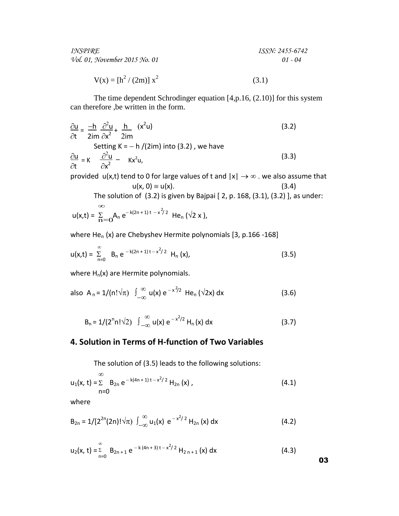*INSPIRE ISSN: 2455-6742 Vol.* 01, November 2015 No. 01 01 - 04  $h^2/(2m)^3 r^2$ 

$$
V(x) = [h2 / (2m)] x2
$$
 (3.1)

The time dependent Schrodinger equation [4,p.16, (2.10)] for this system can therefore ,be written in the form.

$$
\frac{\partial u}{\partial t} = \frac{-h}{2im} \frac{\partial^2 u}{\partial x^2} + \frac{h}{2im} (x^2 u)
$$
(3.2)  
\nSetting K = - h/(2im) into (3.2), we have  
\n
$$
\frac{\partial u}{\partial t} = K \frac{\partial^2 u}{\partial x^2} - Kx^2 u,
$$
(3.3)  
\nprovided u(x,t) tend to 0 for large values of t and |x|  $\rightarrow \infty$ . we also assume that  
\nu(x, 0) = u(x).  
\nThe solution of (3.2) is given by Bajpai [2, p. 168, (3.1), (3.2)], as under:  
\n
$$
u(x,t) = \sum_{n=0}^{\infty} A_n e^{-k(2n+1)t - x^2/2} \text{ He}_n (\sqrt{2} x),
$$
(3.3)

where He<sub>n</sub> (x) are Chebyshev Hermite polynomials [3, p.166 -168] (X) d

$$
u(x,t) = \sum_{n=0}^{\infty} B_n e^{-k(2n+1)t - x^2/2} H_n(x),
$$
 (3.5)

where  $H_n(x)$  are Hermite polynomials.

also 
$$
A_n = 1/(n! \sqrt{\pi}) \int_{-\infty}^{\infty} u(x) e^{-x^2/2} \text{He}_n(\sqrt{2}x) dx
$$
 (3.6)

$$
B_n = 1/(2^n n! \sqrt{2}) \int_{-\infty}^{\infty} u(x) e^{-x^2/2} H_n(x) dx
$$
 (3.7)

# **4. Solution in Terms of H-function of Two Variables**

The solution of (3.5) leads to the following solutions:

$$
u_1(x, t) = \sum_{n=0}^{\infty} B_{2n} e^{-k(4n+1)t - x^2/2} H_{2n}(x),
$$
 (4.1)

where

$$
B_{2n} = 1/[2^{2n}(2n)! \sqrt{\pi}) \int_{-\infty}^{\infty} u_1(x) e^{-x^2/2} H_{2n}(x) dx
$$
 (4.2)

$$
u_2(x, t) = \sum_{n=0}^{\infty} B_{2n+1} e^{-k(4n+3)t - x^2/2} H_{2n+1}(x) dx
$$
 (4.3)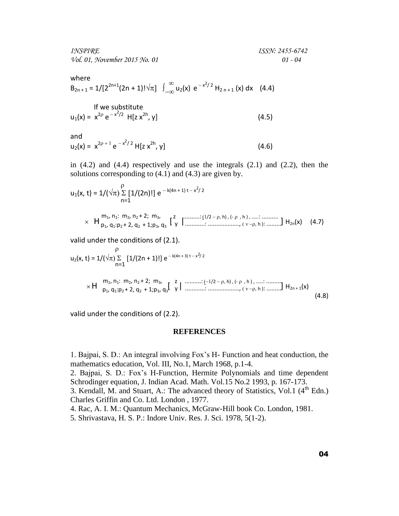#### where

 $B_{2n+1} = 1/[2^{2n+1}(2n+1)! \sqrt{\pi}] \int_{-\infty}^{\infty} u_2(x) e^{-x^2/2} H_{2n+1}(x) dx$  (4.4)  $-\infty$ 2

If we substitute  

$$
u_1(x) = x^{2p} e^{-x^2/2}
$$
 H[z x<sup>2h</sup>, y] (4.5)

and  $u_2(x) = x^{2p+1} e^{-x^2/2} H[z x^{2h}, y]$  (4.6)

in  $(4.2)$  and  $(4.4)$  respectively and use the integrals  $(2.1)$  and  $(2.2)$ , then the solutions corresponding to (4.1) and (4.3) are given by.

u1(x, t) = 1/(1/(2n)!] e k(4n + 1) t x / 2 H [ | ] H2n(x) (4.7) n=1 2 m1, n1: m2, n2 + 2; m3, pn13 , q1:p2 + 2, q2 + 1;p3, q<sup>3</sup> z ..........: /2 h) , (- , h ) , ……: .......... y ............: ..................., h ): .........

valid under the conditions of (2.1).

u2(x, t) = 1/(1/(2n + 1)!] e k(4n + 3) t x / 2 H [ | ] H2n + 1(x) (4.8) n=1 2 m1, n1: m2, n2 + 2; m3, pn13 , q1:p2 + 2, q2 + 1;p3, q<sup>3</sup> z ..........: /2 h) , (- , h ) , ……: .......... y ............: ..................., h ): .........

valid under the conditions of (2.2).

#### **REFERENCES**

1. Bajpai, S. D.: An integral involving Fox's H- Function and heat conduction, the mathematics education, Vol. III, No.1, March 1968, p.1-4.

2. Bajpai, S. D.: Fox's H-Function, Hermite Polynomials and time dependent Schrodinger equation, J. Indian Acad. Math. Vol.15 No.2 1993, p. 167-173.

3. Kendall, M. and Stuart, A.: The advanced theory of Statistics, Vol.1 ( $4<sup>th</sup>$  Edn.) Charles Griffin and Co. Ltd. London , 1977.

4. Rac, A. I. M.: Quantum Mechanics, McGraw-Hill book Co. London, 1981.

5. Shrivastava, H. S. P.: Indore Univ. Res. J. Sci. 1978, 5(1-2).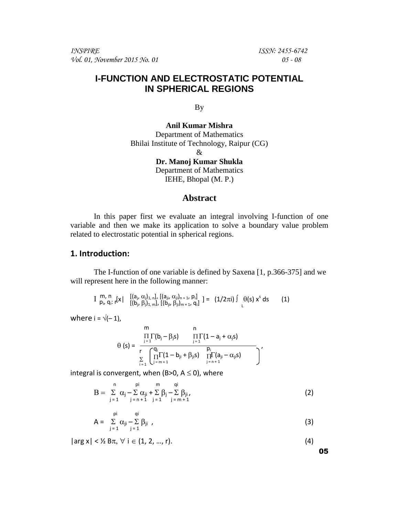# **I-FUNCTION AND ELECTROSTATIC POTENTIAL IN SPHERICAL REGIONS**

By

**Anil Kumar Mishra** Department of Mathematics Bhilai Institute of Technology, Raipur (CG) & **Dr. Manoj Kumar Shukla** Department of Mathematics

IEHE, Bhopal (M. P.)

# **Abstract**

In this paper first we evaluate an integral involving I-function of one variable and then we make its application to solve a boundary value problem related to electrostatic potential in spherical regions.

#### **1. Introduction:**

The I-function of one variable is defined by Saxena [1, p.366-375] and we will represent here in the following manner:

$$
\begin{array}{cc} I \begin{array}{c} m, n \\ p_i, q_i \end{array} \begin{array}{c} \left[ (a_j, \alpha_j)_{1, n} \right], \left[ (a_{j i}, \alpha_{j i})_{n+1}, p_i \right] \\ \left[ (b_j, \beta_j)_{1, m} \right], \left[ (b_{j i}, \beta_{j i})_{m+1}, q_i \right] \end{array} \begin{array}{c} \end{array} = \begin{array}{c} (1/2 \pi i) \int \begin{array}{c} \theta(s) \, x^s \, ds \\ \end{array} \end{array} \tag{1}
$$

where  $i = \sqrt{(-1)}$ ,

$$
\theta (s) = \frac{\prod\limits_{j=1}^{m} \Gamma(b_j - \beta_j s)}{\sum\limits_{i=1}^{r} \left( \frac{q_i}{\prod\limits_{j=m+1}^{r} (1 - b_{ji} + \beta_{ji} s)} \frac{p_i}{\prod\limits_{j=n+1}^{r} (a_{ji} - \alpha_{ji} s)} \right)}
$$

integral is convergent, when (B>0, A  $\leq$  0), where

$$
B = \sum_{j=1}^{n} \alpha_j - \sum_{j=n+1}^{pi} \alpha_{ji} + \sum_{j=1}^{n} \beta_j - \sum_{j=m+1}^{qi} \beta_{ji},
$$
 (2)

$$
A = \sum_{j=1}^{pi} \alpha_{ji} - \sum_{j=1}^{qi} \beta_{ji} , \qquad (3)
$$

 $|\arg x| < \frac{1}{2}$  B $\pi, \forall i \in (1, 2, ..., r).$  (4)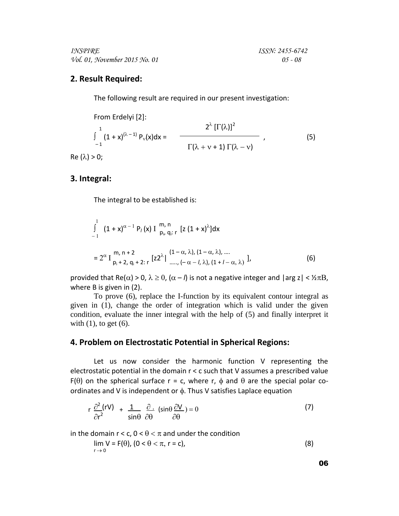| INSPIRE                       | <i>ISSN: 2455-6742</i> |
|-------------------------------|------------------------|
| Vol. 01, November 2015 No. 01 | 05 - 08                |

#### **2. Result Required:**

The following result are required in our present investigation:

From Erdelyi [2]:  
\n
$$
\int_{-1}^{1} (1+x)^{(\lambda-1)} P_{\nu}(x) dx = \frac{2^{\lambda} [\Gamma(\lambda)]^{2}}{\Gamma(\lambda + \nu + 1) \Gamma(\lambda - \nu)},
$$
\n(5)

 $Re(\lambda) > 0;$ 

# **3. Integral:**

The integral to be established is:

$$
\int_{-1}^{1} (1+x)^{\alpha-1} P_{l}(x) I_{p_{i}, q_{i}: r}^{m, n} [z (1+x)^{\lambda}] dx
$$
  
=  $2^{\alpha} I_{p_{i}+2, q_{i}+2: r}^{m, n+2} [z 2^{\lambda}]_{m, (-\alpha-1, \lambda), (1+1-\alpha, \lambda)}^{(1-\alpha, \lambda)} J_{l}$  (6)

provided that Re( $\alpha$ ) > 0,  $\lambda \ge 0$ , ( $\alpha - l$ ) is not a negative integer and |arg z| <  $\frac{1}{2} \pi B$ , where B is given in (2).

To prove (6), replace the I-function by its equivalent contour integral as given in (1), change the order of integration which is valid under the given condition, evaluate the inner integral with the help of (5) and finally interpret it with  $(1)$ , to get  $(6)$ .

#### **4. Problem on Electrostatic Potential in Spherical Regions:**

Let us now consider the harmonic function V representing the electrostatic potential in the domain r < c such that V assumes a prescribed value F( $\theta$ ) on the spherical surface r = c, where r,  $\phi$  and  $\theta$  are the special polar coordinates and V is independent or  $\phi$ . Thus V satisfies Laplace equation

$$
r \frac{\partial^2}{\partial r^2} (rV) + \frac{1}{\sin \theta} \frac{\partial}{\partial \theta} (\sin \theta \frac{\partial V}{\partial \theta}) = 0
$$
 (7)

in the domain  $r < c$ ,  $0 < \theta < \pi$  and under the condition

 $\lim V = F(\theta)$ ,  $(0 < \theta < \pi, r = c)$ , (8)  $r \rightarrow 0$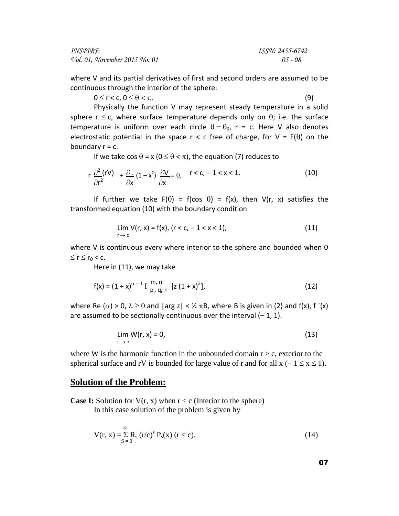| INSPIRE                       | ISSN: 2455-6742 |
|-------------------------------|-----------------|
| Vol. 01, November 2015 No. 01 | 05 - 08         |

where V and its partial derivatives of first and second orders are assumed to be continuous through the interior of the sphere:

 $0 \le r < c, 0 \le \theta < \pi.$  (9)

Physically the function V may represent steady temperature in a solid sphere  $r \leq c$ , where surface temperature depends only on  $\theta$ ; i.e. the surface temperature is uniform over each circle  $\theta = \theta_0$ , r = c. Here V also denotes electrostatic potential in the space  $r < c$  free of charge, for  $V = F(\theta)$  on the boundary  $r = c$ .

If we take cos  $\theta = x$  ( $0 \le \theta < \pi$ ), the equation (7) reduces to

$$
r \frac{\partial^2}{\partial r^2} (rV) + \frac{\partial}{\partial x} (1 - x^2) \frac{\partial V}{\partial x} = 0, \quad r < c, -1 < x < 1.
$$
 (10)

If further we take  $F(\theta) = f(\cos \theta) = f(x)$ , then  $V(r, x)$  satisfies the transformed equation (10) with the boundary condition

$$
\lim_{r \to c} V(r, x) = f(x), (r < c, -1 < x < 1), \tag{11}
$$

where V is continuous every where interior to the sphere and bounded when 0  $\leq r \leq r_0$  < c.

Here in (11), we may take

$$
f(x) = (1 + x)^{\alpha - 1} I_{p_i, q_i: r}^{m, n} [z (1 + x)^{\lambda}],
$$
 (12)

where Re ( $\alpha$ ) > 0,  $\lambda \ge 0$  and |arg z| < ½  $\pi$ B, where B is given in (2) and f(x), f '(x) are assumed to be sectionally continuous over the interval  $(-1, 1)$ .

$$
\lim_{r \to \infty} W(r, x) = 0, \tag{13}
$$

where W is the harmonic function in the unbounded domain  $r > c$ , exterior to the spherical surface and rV is bounded for large value of r and for all  $x$  ( $-1 \le x \le 1$ ).

### **Solution of the Problem:**

**Case I:** Solution for  $V(r, x)$  when  $r < c$  (Interior to the sphere) In this case solution of the problem is given by

$$
V(r, x) = \sum_{S=0}^{\infty} R_s (r/c)^s P_s(x) (r < c).
$$
 (14)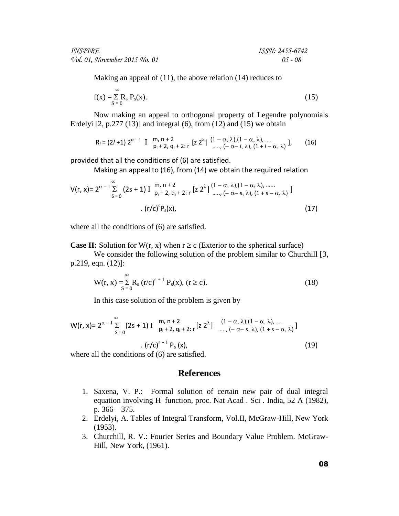*INSPIRE ISSN: 2455-6742 Vol. 01, November 2015 No. 01 05 - 08*

Making an appeal of (11), the above relation (14) reduces to

$$
f(x) = \sum_{S=0}^{\infty} R_S P_S(x).
$$
 (15)

Now making an appeal to orthogonal property of Legendre polynomials Erdelyi  $[2, p.277 (13)]$  and integral  $(6)$ , from  $(12)$  and  $(15)$  we obtain

$$
R_{l} = (2l + 1) 2^{\alpha - 1} I \quad \mathop{m, n + 2 \atop p_{i} + 2, q_{i} + 2} \nolimits; r \left[ z 2^{\lambda} \right] \quad \mathop{m, n + 2 \atop \cdots, (-\alpha - l, \lambda), (1 - \alpha, \lambda), \ \cdots} \nolimits, \quad l \tag{16}
$$

provided that all the conditions of (6) are satisfied.

Making an appeal to (16), from (14) we obtain the required relation

$$
V(r, x) = 2^{\alpha - 1} \sum_{s=0}^{\infty} (2s + 1) I_{p_i + 2, q_i + 2: r}^{m, n + 2} [z 2^{\lambda}]_{..., (-\alpha - s, \lambda), (1 - \alpha, \lambda), .......}
$$
  
. 
$$
(r/c)^{s} P_s(x),
$$
 (17)

where all the conditions of (6) are satisfied.

**Case II:** Solution for W(r, x) when  $r \ge c$  (Exterior to the spherical surface)

We consider the following solution of the problem similar to Churchill [3, p.219, eqn. (12)]:

$$
W(r, x) = \sum_{S=0}^{\infty} R_s (r/c)^{s+1} P_s(x), (r \ge c).
$$
 (18)

In this case solution of the problem is given by

$$
W(r, x) = 2^{\alpha - 1} \sum_{s=0}^{\infty} (2s + 1) I \frac{m, n + 2}{p_i + 2, q_i + 2: r} [z 2^{\lambda}] \frac{(1 - \alpha, \lambda), (1 - \alpha, \lambda), \dots}{\dots, (-\alpha - s, \lambda), (1 + s - \alpha, \lambda)} I
$$
  
. 
$$
(r/c)^{s + 1} P_s(x),
$$
 (19)

where all the conditions of (6) are satisfied.

### **References**

- 1. Saxena, V. P.: Formal solution of certain new pair of dual integral equation involving H–function, proc. Nat Acad . Sci . India, 52 A (1982), p. 366 – 375.
- 2. Erdelyi, A. Tables of Integral Transform, Vol.II, McGraw-Hill, New York (1953).
- 3. Churchill, R. V.: Fourier Series and Boundary Value Problem. McGraw-Hill, New York, (1961).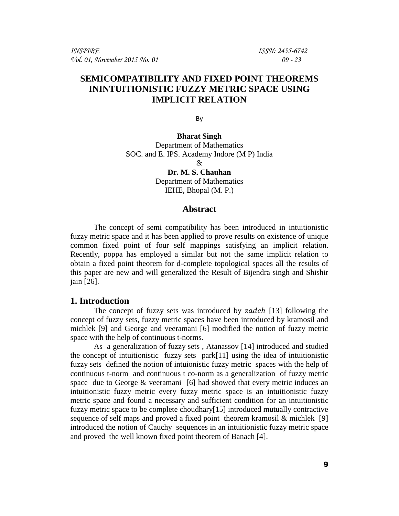# **SEMICOMPATIBILITY AND FIXED POINT THEOREMS ININTUITIONISTIC FUZZY METRIC SPACE USING IMPLICIT RELATION**

By

**Bharat Singh**  Department of Mathematics SOC. and E. IPS. Academy Indore (M P) India & **Dr. M. S. Chauhan**

Department of Mathematics IEHE, Bhopal (M. P.)

# **Abstract**

The concept of semi compatibility has been introduced in intuitionistic fuzzy metric space and it has been applied to prove results on existence of unique common fixed point of four self mappings satisfying an implicit relation. Recently, poppa has employed a similar but not the same implicit relation to obtain a fixed point theorem for d-complete topological spaces all the results of this paper are new and will generalized the Result of Bijendra singh and Shishir jain [26].

#### **1. Introduction**

The concept of fuzzy sets was introduced by zadeh [13] following the concept of fuzzy sets, fuzzy metric spaces have been introduced by kramosil and michlek [9] and George and veeramani [6] modified the notion of fuzzy metric space with the help of continuous t-norms.

As a generalization of fuzzy sets , Atanassov [14] introduced and studied the concept of intuitionistic fuzzy sets park[11] using the idea of intuitionistic fuzzy sets defined the notion of intuionistic fuzzy metric spaces with the help of continuous t-norm and continuous t co-norm as a generalization of fuzzy metric space due to George & veeramani [6] had showed that every metric induces an intuitionistic fuzzy metric every fuzzy metric space is an intuitionistic fuzzy metric space and found a necessary and sufficient condition for an intuitionistic fuzzy metric space to be complete choudhary[15] introduced mutually contractive sequence of self maps and proved a fixed point theorem kramosil & michlek [9] introduced the notion of Cauchy sequences in an intuitionistic fuzzy metric space and proved the well known fixed point theorem of Banach [4].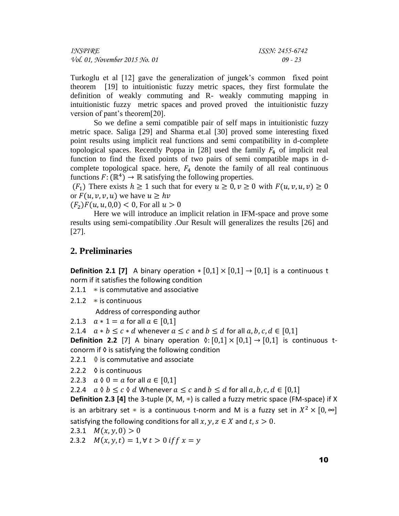| INSPIRE                       | <i>ISSN: 2455-6742</i> |
|-------------------------------|------------------------|
| Vol. 01, November 2015 No. 01 | $09 - 23$              |

Turkoglu et al [12] gave the generalization of jungek's common fixed point theorem [19] to intuitionistic fuzzy metric spaces, they first formulate the definition of weakly commuting and R- weakly commuting mapping in intuitionistic fuzzy metric spaces and proved proved the intuitionistic fuzzy version of pant's theorem[20].

So we define a semi compatible pair of self maps in intuitionistic fuzzy metric space. Saliga [29] and Sharma et.al [30] proved some interesting fixed point results using implicit real functions and semi compatibility in d-complete topological spaces. Recently Poppa in [28] used the family  $F_4$  of implicit real function to find the fixed points of two pairs of semi compatible maps in dcomplete topological space. here,  $F_4$  denote the family of all real continuous functions  $F: (\mathbb{R}^4) \to \mathbb{R}$  satisfying the following properties.

 $(F_1)$  There exists  $h \ge 1$  such that for every  $u \ge 0, v \ge 0$  with  $F(u, v, u, v) \ge 0$ or  $F(u, v, v, u)$  we have  $u \ge hv$ 

 $(F_2)F(u, u, 0, 0) < 0$ , For all  $u > 0$ 

Here we will introduce an implicit relation in IFM-space and prove some results using semi-compatibility .Our Result will generalizes the results [26] and [27].

# **2. Preliminaries**

**Definition 2.1 [7]** A binary operation  $\ast [ 0,1] \times [ 0,1] \rightarrow [0,1]$  is a continuous t norm if it satisfies the following condition

- $2.1.1$   $*$  is commutative and associative
- 2.1.2  $*$  is continuous

Address of corresponding author

2.1.3  $a * 1 = a$  for all  $a \in [0,1]$ 

2.1.4  $a * b \leq c * d$  whenever  $a \leq c$  and  $b \leq d$  for all  $a, b, c, d \in [0,1]$ 

**Definition 2.2** [7] A binary operation  $\Diamond$ :  $[0,1] \times [0,1] \rightarrow [0,1]$  is continuous tconorm if ◊ is satisfying the following condition

2.2.1  $\Diamond$  is commutative and associate

2.2.2 <u>**Q**</u> is continuous

2.2.3  $a \, \theta \, 0 = a$  for all  $a \in [0,1]$ 

2.2.4  $a \& b \leq c \& d$  Whenever  $a \leq c$  and  $b \leq d$  for all  $a, b, c, d \in [0,1]$ 

**Definition 2.3 [4]** the 3-tuple  $(X, M, *)$  is called a fuzzy metric space (FM-space) if X is an arbitrary set  $*$  is a continuous t-norm and M is a fuzzy set in  $X^2 \times [0, \infty]$ satisfying the following conditions for all  $x, y, z \in X$  and  $t, s > 0$ .

2.3.1  $M(x, y, 0) > 0$ 

2.3.2  $M(x, y, t) = 1, \forall t > 0$  if  $f x = y$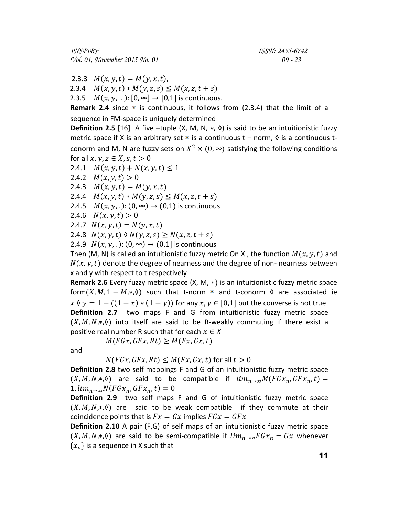2.3.3  $M(x, y, t) = M(y, x, t)$ ,

2.3.4  $M(x, y, t) * M(y, z, s) \leq M(x, z, t + s)$ 

2.3.5  $M(x, y, ...)$ :  $[0, \infty] \to [0, 1]$  is continuous.

**Remark 2.4** since  $*$  is continuous, it follows from (2.3.4) that the limit of a sequence in FM-space is uniquely determined

**Definition 2.5** [16] A five -tuple  $(X, M, N, *, \mathcal{O})$  is said to be an intuitionistic fuzzy metric space if X is an arbitrary set  $*$  is a continuous t – norm,  $\lozenge$  is a continuous tconorm and M, N are fuzzy sets on  $X^2\times (0,\infty)$  satisfying the following conditions for all  $x, y, z \in X, s, t > 0$ 

- 2.4.1  $M(x, y, t) + N(x, y, t) \le 1$
- 2.4.2  $M(x, y, t) > 0$
- 2.4.3  $M(x, y, t) = M(y, x, t)$
- 2.4.4  $M(x, y, t) * M(y, z, s) \leq M(x, z, t + s)$
- 2.4.5  $M(x, y, .): (0, \infty) \to (0, 1)$  is continuous

$$
2.4.6 \quad N(x, y, t) > 0
$$

2.4.7  $N(x, y, t) = N(y, x, t)$ 

2.4.8  $N(x, y, t) \mathcal{N}(y, z, s) \geq N(x, z, t + s)$ 

2.4.9  $N(x, y, ...)$ :  $(0, \infty) \rightarrow (0, 1]$  is continuous

Then (M, N) is called an intuitionistic fuzzy metric On X, the function  $M(x, y, t)$  and  $N(x, y, t)$  denote the degree of nearness and the degree of non- nearness between x and y with respect to t respectively

**Remark 2.6** Every fuzzy metric space (X, M,  $*$ ) is an intuitionistic fuzzy metric space form  $(X, M, 1 - M, *)$  such that t-norm  $*$  and t-conorm  $\lozenge$  are associated ie  $x \vee y = 1 - ((1 - x) * (1 - y))$  for any  $x, y \in [0,1]$  but the converse is not true **Definition 2.7** two maps F and G from intuitionistic fuzzy metric space  $(X, M, N, * , \lozenge)$  into itself are said to be R-weakly commuting if there exist a positive real number R such that for each  $x \in X$ 

 $M(FGx, GFx, Rt) \geq M(Fx, Gx, t)$ 

and

 $N(FGx, GFx, Rt) \leq M(Fx, Gx, t)$  for all  $t > 0$ 

**Definition 2.8** two self mappings F and G of an intuitionistic fuzzy metric space  $(X, M, N, * , 0)$  are said to be compatible if  $lim_{n\to\infty}M(FGx_n, GFx_n, t)$  =  $1, lim_{n\rightarrow\infty} N(FGx_n, GFx_n, t) = 0$ 

**Definition 2.9** two self maps F and G of intuitionistic fuzzy metric space  $(X, M, N, *)$  are said to be weak compatible if they commute at their coincidence points that is  $Fx = Gx$  implies  $FGx = GFx$ 

**Definition 2.10** A pair (F,G) of self maps of an intuitionistic fuzzy metric space  $(X, M, N, * , 0)$  are said to be semi-compatible if  $lim_{n\to\infty}FGx_n = Gx$  whenever  $\{x_n\}$  is a sequence in X such that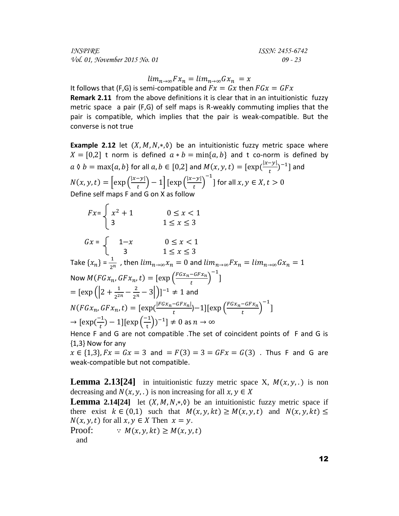$$
lim_{n\to\infty} Fx_n = lim_{n\to\infty} Gx_n = x
$$

It follows that (F,G) is semi-compatible and  $Fx = Gx$  then  $FGx = GFx$ **Remark 2.11** from the above definitions it is clear that in an intuitionistic fuzzy metric space a pair (F,G) of self maps is R-weakly commuting implies that the pair is compatible, which implies that the pair is weak-compatible. But the converse is not true

**Example 2.12** let  $(X, M, N, * , 0)$  be an intuitionistic fuzzy metric space where  $X = [0,2]$  t norm is defined  $a * b = min\{a, b\}$  and t co-norm is defined by  $a \mathrel{\lozenge} b = \max\{a,b\}$  for all  $a,b \in [0,2]$  and  $M(x,y,t) = [\exp(\frac{|x-y|}{t})]$  $\frac{-y_1}{t}$  $)^{-1}$ ] and  $N(x, y, t) = \left[\exp\left(\frac{|x-y|}{t}\right)\right]$  $\left[\frac{-y|}{t}\right] - 1\right]$  [exp $\left(\frac{|x-y|}{t}\right)$  $\left[\frac{-y|}{t}\right]^{-1}$ ] for all Define self maps F and G on X as follow

$$
Fx = \begin{cases} x^{2} + 1 & 0 \le x < 1 \\ 3 & 1 \le x \le 3 \end{cases}
$$
  

$$
Gx = \begin{cases} 1 - x & 0 \le x < 1 \\ 3 & 1 \le x \le 3 \end{cases}
$$
  
Table 
$$
\{x\} = \frac{1}{2}
$$
 then  $\lim_{x \to 0} x = 0$  and  $\lim_{x \to 0} x = 0$ 

Take { $x_n$ } =  $\frac{1}{2}$  $\frac{1}{2^n}$ , then  $lim_{n\to\infty}x_n=0$  and Now  $M(FGx_n,GFx_n,t) = [\exp(\frac{F}{t})]$  $\left[\frac{-GFx_n}{t}\right)^{-1}$ ]  $=$  [exp  $\left( \frac{1}{2} + \frac{1}{2} \right)$  $2^2$  $\overline{\mathbf{c}}$  $\frac{2}{2^n} - 3$ ]<sup>-1</sup>  $\neq$  1 and  $N(FGx_n, GFx_n, t) = [\exp(\frac{|FGx_n - GFx_n|}{t})]$  $\frac{-GFx_n|}{t}$ ) $-1$ ][ $\exp\left(\frac{F}{t}\right)$  $\left[\frac{-GFx_n}{t}\right)^{-1}$ ]  $\rightarrow$  [exp( $\frac{1}{4}$ )  $\left[\frac{1}{t}\right]$  - 1][exp $\left(\frac{1}{t}\right)$  $\left(\frac{1}{t}\right)$  $\left(1\right)$  = 1  $\neq$  0 as

Hence F and G are not compatible .The set of coincident points of F and G is {1,3} Now for any

 $x \in \{1,3\}, Fx = Gx = 3$  and  $F(x) = 3 = GFx = G(3)$ . Thus F and G are weak-compatible but not compatible.

**Lemma 2.13[24]** in intuitionistic fuzzy metric space X,  $M(x, y, .)$  is non decreasing and  $N(x, y, ...)$  is non increasing for all  $x, y \in X$ 

**Lemma** 2.14[24] let  $(X, M, N, *, \delta)$  be an intuitionistic fuzzy metric space if there exist  $k \in (0,1)$  such that  $M(x, y, kt) \geq M(x, y, t)$  and  $N(x, y, kt) \leq$  $N(x, y, t)$  for all  $x, y \in X$  Then  $x = y$ . Proof:  $V: M(x, y, kt) \geq M(x, y, t)$ 

and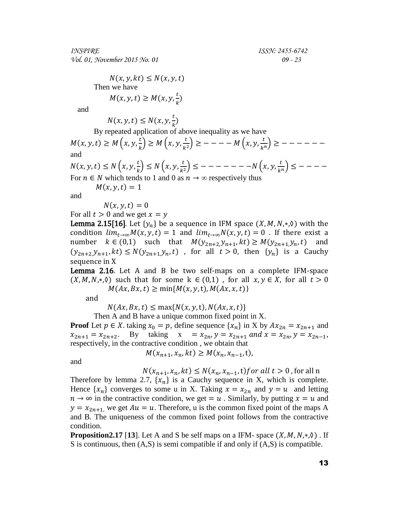$N(x, y, kt) \leq N(x, y, t)$ Then we have t  $\frac{k}{k}$ 

and

$$
N(x, y, t) \leq N(x, y, \frac{t}{k})
$$

By repeated application of above inequality as we have

 ( ) ( ) ( ) and

 $N(x, y, t) \leq N(x, y, \frac{t}{t})$  $\left(\frac{t}{k}\right) \leq N\left(x, y, \frac{t}{k^2}\right)$  $\left(\frac{t}{k^2}\right) \leq - - - - - - -N\left(x, y, \frac{t}{k^2}\right)$  $\frac{\iota}{k^n}\Big)\leq$ For  $n \in N$  which tends to 1 and 0 as  $n \to \infty$  respectively thus

$$
M(x, y, t) = 1
$$

and

$$
N(x, y, t) = 0
$$

For all  $t > 0$  and we get  $x = y$ 

**Lemma 2.15[16]**. Let  $\{y_n\}$  be a sequence in IFM space  $(X, M, N, *, \lozenge)$  with the condition  $\lim_{t\to\infty} M(x, y, t) = 1$  and  $\lim_{t\to\infty} N(x, y, t) = 0$ . If there exist a number  $k \in (0,1)$  such that  $M(y_{2n+2}, y_{n+1}, kt) \geq M(y_{2n+1}, y_n, t)$  and  $(y_{2n+2}, y_{n+1}, kt) \le N(y_{2n+1}, y_n, t)$ , for all  $t > 0$ , then  $\{y_n\}$  is a Cauchy sequence in X

Lemma 2.16. Let A and B be two self-maps on a complete IFM-space  $(X, M, N, * , 0)$  such that for some  $k \in (0,1)$ , for all  $x, y \in X$ , for all  $t > 0$  $M(Ax, Bx, t) \ge \min\{M(x, y, t), M(Ax, x, t)\}\$ 

and

 $N(Ax, Bx, t) \leq \max\{N(x, y, t), N(Ax, x, t)\}\$ 

Then A and B have a unique common fixed point in X.

**Proof** Let  $p \in X$  taking  $x_0 = p$ , define sequence  $\{x_n\}$  in X by  $Ax_{2n} = x_{2n+1}$  and  $x_{2n+1} = x_{2n+2}$ . By taking  $x = x_{2n}$ ,  $y = x_{2n+1}$  and  $x = x_{2n}$ ,  $y = x_{2n-1}$ , respectively, in the contractive condition , we obtain that

$$
M(x_{n+1}, x_n, kt) \ge M(x_n, x_{n-1}, t),
$$

and

 $N(x_{n+1}, x_n, kt) \le N(x_n, x_{n-1}, t)$  for all  $t > 0$ , for all n

Therefore by lemma 2.7,  $\{x_n\}$  is a Cauchy sequence in X, which is complete. Hence  $\{x_n\}$  converges to some u in X. Taking  $x = x_{2n}$  and  $y = u$  and letting  $n \to \infty$  in the contractive condition, we get = u. Similarly, by putting  $x = u$  and  $y = x_{2n+1}$ , we get  $Au = u$ . Therefore, u is the common fixed point of the maps A and B. The uniqueness of the common fixed point follows from the contractive condition.

**Proposition2.17** [13]. Let A and S be self maps on a IFM- space  $(X, M, N, *, \lozenge)$ . If S is continuous, then (A,S) is semi compatible if and only if (A,S) is compatible.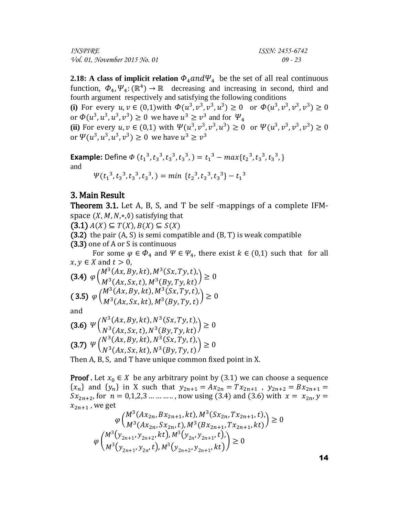| INSPIRE                       | ISSN: 2455-6742 |
|-------------------------------|-----------------|
| Vol. 01, November 2015 No. 01 | $09 - 23$       |

**2.18:** A class of implicit relation  $\Phi_4$  and  $\Psi_4$  be the set of all real continuous function,  $\Phi_4$ ,  $\Psi_4$ : ( $\mathbb{R}^4$ )  $\rightarrow \mathbb{R}$  decreasing and increasing in second, third and fourth argument respectively and satisfying the following conditions

(i) For every  $u, v \in (0,1)$  with  $\Phi(u^3, v^3, v^3, u^3) \ge 0$  or  $\Phi(u^3, v^3, v^3, v^3)$ or  $\Phi(u^3, u^3, u^3, v^3) \ge 0$  we have  $u^3 \ge v^3$  and for (ii) For every  $u, v \in (0,1)$  with  $\Psi(u^3, v^3, v^3, u^3) \geq 0$  or  $\Psi(u^3, v^3, v^3, v^3)$ or  $\Psi(u^3, u^3, u^3, v^3) \ge 0$  we have  $u^3 \ge v^3$ 

**Example:** Define  $\Phi(t_1^3, t_3^3, t_3^3, t_3^3) = t_1^3 - max\{t_2^3, t_3^3, t_3^3, t_3^3, t_3^3, t_3^3, t_3^3, t_3^3, t_3^3, t_3^3, t_3^3, t_3^3, t_3^3, t_3^3, t_3^3, t_3^3, t_3^3, t_3^3, t_3^3, t_3^3, t_3^3, t_3^3, t_3^3, t_3^3, t_3^3, t_3^3, t_3^3, t_3^$ and  $\overline{u}$ 

$$
P(t_1^3, t_3^3, t_3^3, t_3^3) = \min \{t_2^3, t_3^3, t_3^3\} - t_1^3
$$

# 3. Main Result

**Theorem 3.1.** Let A, B, S, and T be self -mappings of a complete IFMspace  $(X, M, N, * , \mathcal{O})$  satisfying that

 $(3.1)$   $A(X) \subseteq T(X), B(X) \subseteq S(X)$ 

(3.2) the pair  $(A, S)$  is semi compatible and  $(B, T)$  is weak compatible (3.3) one of A or S is continuous

For some  $\varphi \in \Phi_4$  and  $\Psi \in \Psi_4$ , there exist  $k \in (0,1)$  such that for all  $x, y \in X$  and  $t > 0$ ,

$$
(3.4) \varphi {M^3(Ax, By, kt), M^3(Sx, Ty, t), \n A^3(By, Ty, kt)} \ge 0
$$
\n
$$
(3.5) \varphi {M^3(Ax, By, kt), M^3(Sx, Ty, t), \n A^3(Ax, Sy, kt), M^3(Sx, Ty, t), \n B^3(By, Ty, t)} \ge 0
$$

and

$$
(3.6) \ \Psi \binom{N^3(Ax, By, kt), N^3(Sx, Ty, t),}{N^3(Ax, Sx, t), N^3(By, Ty, kt)} \ge 0
$$
  

$$
(3.7) \ \Psi \binom{N^3(Ax, By, kt), N^3(Sx, Ty, t),}{N^3(Ax, Sx, kt), N^3(By, Ty, t)} \ge 0
$$

Then A, B, S, and T have unique common fixed point in X.

**Proof.** Let  $x_0 \in X$  be any arbitrary point by (3.1) we can choose a sequence  $\{x_n\}$  and  $\{y_n\}$  in X such that  $y_{2n+1} = Ax_{2n} = Tx_{2n+1}$ , y  $Sx_{2n+2}$ , for  $n = 0,1,2,3...$  ... ... now using (3.4) and (3.6) with  $x = x_{2n}$ ,  $y =$  $x_{2n+1}$ , we get

$$
\varphi\left(\begin{matrix}M^{3}(Ax_{2n},Bx_{2n+1},kt),M^{3}(Sx_{2n},Tx_{2n+1},t),\\M^{3}(Ax_{2n},Sx_{2n},t),M^{3}(Bx_{2n+1},Tx_{2n+1},kt)\end{matrix}\right)\geq 0
$$

$$
\varphi\left(\begin{matrix}M^{3}(y_{2n+1},y_{2n+2},kt),M^{3}(y_{2n},y_{2n+1},t),\\M^{3}(y_{2n+1},y_{2n},t),M^{3}(y_{2n+2},y_{2n+1},kt)\end{matrix}\right)\geq 0
$$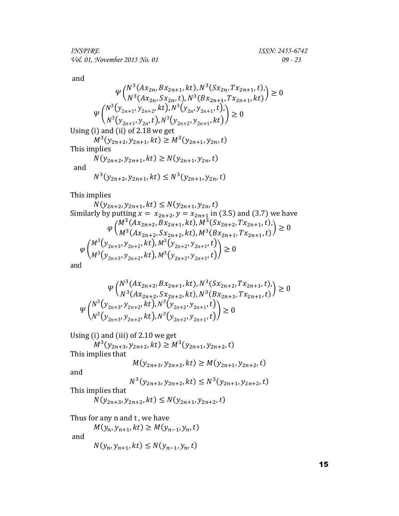and

$$
\Psi\begin{pmatrix}N^3(Ax_{2n}, Bx_{2n+1}, kt), N^3(Sx_{2n}, Tx_{2n+1}, t),\\ N^3(Ax_{2n}, Sx_{2n}, t), N^3(Bx_{2n+1}, Tx_{2n+1}, kt)\end{pmatrix} \ge 0
$$
  

$$
\Psi\begin{pmatrix}N^3(y_{2n+1}, y_{2n+2}, kt), N^3(y_{2n}, y_{2n+1}, t),\\ N^3(y_{2n+1}, y_{2n}, t), N^3(y_{2n+2}, y_{2n+1}, kt)\end{pmatrix} \ge 0
$$
  
Using (i) and (ii) of 2.18 we get  

$$
M^3(y_{2n+2}, y_{2n+1}, kt) \ge M^3(y_{2n+1}, y_{2n}, t)
$$
  
This implies  

$$
N(y_{2n+2}, y_{2n+1}, kt) \ge N(y_{2n+1}, y_{2n}, t)
$$
  
and  

$$
N^3(y_{2n+2}, y_{2n+1}, kt) \le N^3(y_{2n+1}, y_{2n}, t)
$$

This implies

$$
N(y_{2n+2}, y_{2n+1}, kt) \le N(y_{2n+1}, y_{2n}, t)
$$
  
\nSimilarly by putting  $x = x_{2n+2}, y = x_{2n+1}$  in (3.5) and (3.7) we have  
\n
$$
\varphi \begin{pmatrix} M^3(Ax_{2n+2}, Bx_{2n+1}, kt), M^3(Sx_{2n+2}, Tx_{2n+1}, t), \\ M^3(Ax_{2n+2}, Sx_{2n+2}, kt), M^3(Bx_{2n+1}, Tx_{2n+1}, t) \end{pmatrix} \ge 0
$$
  
\n
$$
\varphi \begin{pmatrix} M^3(y_{2n+3}, y_{2n+2}, kt), M^3(y_{2n+2}, y_{2n+1}, t) \\ M^3(y_{2n+3}, y_{2n+2}, kt), M^3(y_{2n+2}, y_{2n+1}, t) \end{pmatrix} \ge 0
$$

and

$$
\Psi\begin{pmatrix}N^3(Ax_{2n+2}, Bx_{2n+1}, kt), N^3(Sx_{2n+2}, Tx_{2n+1}, t),\\N^3(Ax_{2n+2}, Sx_{2n+2}, kt), N^3(Bx_{2n+1}, Tx_{2n+1}, t)\end{pmatrix} \ge 0
$$
  

$$
\Psi\begin{pmatrix}N^3(y_{2n+3}, y_{2n+2}, kt), N^3(y_{2n+2}, y_{2n+1}, t)\\N^3(y_{2n+3}, y_{2n+2}, kt), N^3(y_{2n+2}, y_{2n+1}, t)\end{pmatrix} \ge 0
$$

Using (i) and (iii) of 2.10 we get

 $M^3(y_{2n+3}, y_{2n+2}, kt) \geq M^3($ This implies that

$$
M(y_{2n+3}, y_{2n+2}, kt) \ge M(y_{2n+1}, y_{2n+2}, t)
$$

and

$$
N^{3}(y_{2n+3}, y_{2n+2}, kt) \leq N^{3}(y_{2n+1}, y_{2n+2}, t)
$$

This implies that

$$
N(y_{2n+3}, y_{2n+2}, kt) \le N(y_{2n+1}, y_{2n+2}, t)
$$

Thus for any n and t , we have

$$
M(y_n, y_{n+1}, kt) \ge M(y_{n-1}, y_n, t)
$$
  
and  

$$
N(y_n, y_{n+1}, kt) \le N(y_{n-1}, y_n, t)
$$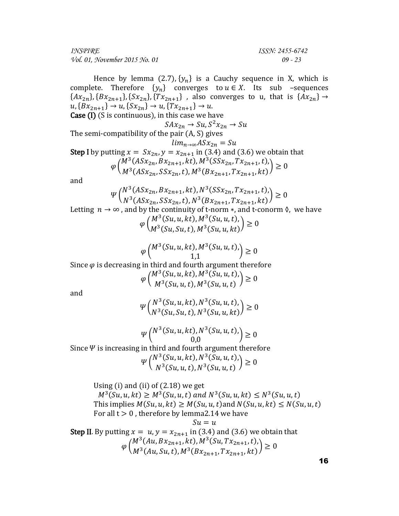Hence by lemma (2.7),  $\{y_n\}$  is a Cauchy sequence in X, which is complete. Therefore  $\{y_n\}$  converges to  $u \in X$ . Its sub -sequences  $\{Ax_{2n}\}, \{Bx_{2n+1}\}, \{Sx_{2n}\}, \{Tx_{2n+1}\}\$ , also converges to u, that is  $\{Ax_{2n}\}\$  $u, {Bx_{2n+1}} \rightarrow u, {Sx_{2n}} \rightarrow u, {Tx_{2n+1}} \rightarrow u.$ Case (I) (S is continuous), in this case we have  $S Ax_{2n} \rightarrow Su, S^2 x_{2n} \rightarrow Su$ The semi-compatibility of the pair (A, S) gives  $lim_{n\to\infty} ASx_{2n} = Su$ **Step I** by putting  $x = Sx_{2n}$ ,  $y = x_{2n+1}$  in (3.4) and (3.6) we obtain that  $\varphi\Big(\frac{M^3(ASx_{2n}, Bx_{2n+1}, kt)}{M^3(Sx_{2n}, Sx_{2n+1})}M^3(Sx_{2n})\Big)$  $M^3(ASx_{2n}, SSx_{2n}, t), M^3( Bx_{2n+1}, Tx_{2n+1}, kt) \geq M^3(ASx_{2n}, SSx_{2n}, t)$ and  $\psi \left( \frac{N^3 (ASx_{2n}, Bx_{2n+1}, kt)}{N^3 (ASx_{2n}, BSx_{2n+1})} \right)$  $N^3(Asx_{2n}, SSx_{2n}, t), N^3( Bx_{2n+1}, Tx_{2n+1}, kt) \ge N^3(Asx_{2n}, SSx_{2n}, t), N^3( Bx_{2n+1}, Tx_{2n+1}, kt)$ Letting  $n \to \infty$ , and by the continuity of t-norm  $\ast$ , and t-conorm  $\delta$ , we have  $\varphi\Big(\frac{M^3(Su,u,kt)}{M^3(Su,0)}\Big)$  $M^3(Su, Su, t), M^3(Su, u, kt) \ge$ <br> $M^3(Su, Su, t), M^3(Su, u, kt)$  $\varphi\binom{M^3(Su,u,kt),M^3(Su,u)}{1.1}$  $\binom{1,1}{1,1}$  (3*u*, *u*, *u*)  $\ge$ Since  $\varphi$  is decreasing in third and fourth argument therefore  $\varphi\binom{M^3(Su, u, kt), M^3(Su, u, k)}{M^3(Su, u, k)}$  $M^3(Su, u, t), M^3(Su, u, t)) \geq M^3(Su, u, t)$ and  $\psi\left(\frac{N^3(Su, u, kt)}{N^3(Su, 0, 0)}\right)^{3/3}$  $N^3(Su, Su, t), N^3(Su, u, kt) \ge N^3(Su, Su, t), N^3(Su, u, kt)$  $\psi\left(N^3(Su,u,kt),N^3(Su,u,kt)\right)$  $\begin{pmatrix} 0, & i \ 0, & i \end{pmatrix} \geq 0,$ 

Since  $\Psi$  is increasing in third and fourth argument therefore

$$
\Psi\binom{N^3(Su, u, kt), N^3(Su, u, t),}{N^3(Su, u, t), N^3(Su, u, t)} \ge 0
$$

Using  $(i)$  and  $(ii)$  of  $(2.18)$  we get  $M^3(Su, u, kt) \geq M^3(Su, u, t)$  and  $N^3(Su, u, kt) \leq N^3(Su, u, kt)$ This implies  $M(Su, u, kt) \geq M(Su, u, t)$  and  $N(Su, u, kt) \leq N(Su, u, t)$ For all  $t > 0$ , therefore by lemma2.14 we have  $C_{21} = 11$ 

Step II. By putting 
$$
x = u
$$
,  $y = x_{2n+1}$  in (3.4) and (3.6) we obtain that  
\n
$$
\varphi \begin{pmatrix} M^3(Au, Bx_{2n+1}, kt), M^3(Su, Tx_{2n+1}, t), \\ M^3(Au, Su, t), M^3(Bx_{2n+1}, Tx_{2n+1}, kt) \end{pmatrix} \ge 0
$$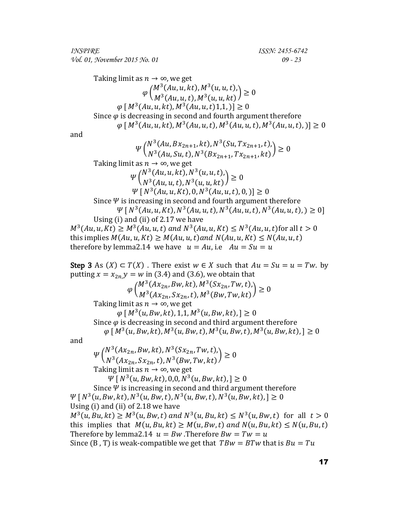Taking limit as  $n \to \infty$ , we get  $\varphi\Big(\frac{M^3(Au, u, kt)}{M^3(1-\mu)}\Big)^{3/3}$  $M^3(Au, u, t), M^3(u, u, kt)) \geq M^3(Au, u, t)$  $\varphi$  [M<sup>3</sup>(Au, u, kt), M<sup>3</sup>(Au, u, t)1,1,)]  $\ge$ Since  $\varphi$  is decreasing in second and fourth argument therefore  $\varphi$  [M<sup>3</sup>(Au, u, kt), M<sup>3</sup>(Au, u, t), M<sup>3</sup>(Au, u, t), M<sup>3</sup>(Au, u, t), )]  $\geq$ and  $\psi\left(\frac{N^3(Au,Bx_{2n+1},kt)}{N^3(A-a)x_{2n+1}}\right)$  $N^3(Au, Su, t), N^3(Bx_{2n+1}, Tx_{2n+1}, kt) \ge N^3(Au, Su, t), N^3(Bx_{2n+1}, Tx_{2n+1}, kt)$ Taking limit as  $n \to \infty$ , we get  $\psi\left(N^3(Au, u, kt), N^3(1)\right)$  $N^3(Au, u, t), N^3(u, u, kt)) \ge N^3(Au, u, t), N^3(u, u, kt)$  $\Psi [ N^3(Au, u, Kt), 0, N^3(Au, u, t), 0, ] \geq$ Since  $\Psi$  is increasing in second and fourth argument therefore  $\Psi [ N^3(Au, u, Kt), N^3(Au, u, t), N^3(Au, u, t), N^3(Au, u, t), \Delta \ge 0]$ Using (i) and (ii) of 2.17 we have  $M^3(Au, u, Kt) \ge M^3(Au, u, t)$  and  $N^3(Au, u, Kt) \le N^3(Au, u, t)$  for all this implies  $M(Au, u, Kt) \geq M(Au, u, t)$  and  $N(Au, u, Kt) \leq N(Au, u, t)$ therefore by lemma2.14 we have  $u = Au$ , i.e  $Au = Su = u$ **Step 3** As  $(X) \subset T(X)$ . There exist  $w \in X$  such that  $Au = Su = u = Tw$ . by putting  $x = x_{2n}$ ,  $y = w$  in (3.4) and (3.6), we obtain that  $\varphi\Big(\frac{M^3(Ax_{2n}, Bw, kt), M^3(Ay_{2n}, Bw_{2n}, k)}{M^3(Ay_{2n}, Bw_{2n}, k)}\Big)$  $M^3(Ax_{2n}, Sx_{2n}, t)$ ,  $M^3(Bw, Tw, kt)$   $\geq$ Taking limit as  $n \to \infty$ , we get  $\varphi$  [  $M^3(u, Bw, kt)$ , 1,1,  $M^3(u, Bw, kt)$ , ]  $\geq$ Since  $\varphi$  is decreasing in second and third argument therefore  $\varphi$  [  $M^3(u, Bw, kt)$ ,  $M^3(u, Bw, t)$ ,  $M^3(u, Bw, t)$ ,  $M^3(u, Bw, kt)$ , ]  $\geq$ and  $\psi \left( \frac{N^3 (Ax_{2n}, Bw, kt), N^3 (x_{2n}, Bw, kt)}{N^3 (x_{2n}, Bw, k^3)} \right)$  $N^3(Ax_{2n}, Sx_{2n}, t), N^3(Bw, Tw, kt)) \ge N^3(Ax_{2n}, Sx_{2n}, t), N^3(Bw, Tw, kt))$ Taking limit as  $n \to \infty$ , we get  $\Psi [ N^3(u, Bw, kt), 0,0, N^3(u, Bw, kt), ] \geq$ Since  $\Psi$  is increasing in second and third argument therefore  $\Psi [ N^3(u, Bw, kt), N^3(u, Bw, t), N^3(u, Bw, t), N^3(u, Bw, kt), ] \geq$ Using (i) and (ii) of 2.18 we have  $M^{3}(u, Bu, kt) \geq M^{3}(u, Bw, t)$  and  $N^{3}(u, Bu, kt) \leq N^{3}(u, Bw, t)$  for all this implies that  $M(u, Bu, kt) \geq M(u, Bw, t)$  and  $N(u, Bu, kt) \leq N(u, Bu, t)$ Therefore by lemma2.14  $u = Bw$ . Therefore  $Bw = Tw = u$ Since (B, T) is weak-compatible we get that  $T B w = B T w$  that is  $B u = T u$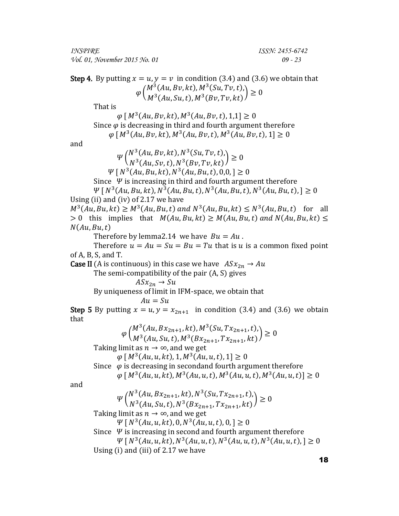**Step 4.** By putting  $x = u$ ,  $y = v$  in condition (3.4) and (3.6) we obtain that  $\varphi\Big(\frac{M^3(Au,Bv,kt)}{M^3(Au,Sv)}\Big)^{3/3}$  $M^3(Au, Su, t), M^3(Bv, Tv, kt)) \geq M^3(Au, Su, t), M^3(Bv, Tv, kt))$ That is  $\varphi$  [M<sup>3</sup>(Au, Bv, kt), M<sup>3</sup>(Au, Bv, t), 1,1]  $\geq$ Since  $\varphi$  is decreasing in third and fourth argument therefore  $\varphi$  [M<sup>3</sup>(Au, Bv, kt), M<sup>3</sup>(Au, Bv, t), M<sup>3</sup>(Au, Bv, t), 1]  $\geq$ and  $\psi \left( \frac{N^3 (Au, Bv, kt)}{N^3 (1 - 1)} \right) N^3$  $N^3(Au, Sv, t), N^3(Bv, Tv, kt)) \ge N^3(Au, Sv, t), N^3(Bv, Tv, kt))$  $\Psi [ N^3(Au,Bu,kt), N^3(Au,Bu,t),0,0,] \geq$ Since  $\Psi$  is increasing in third and fourth argument therefore  $\Psi [ N^3(Au,Bu,kt), N^3(Au,Bu,t), N^3(Au,Bu,t), N^3(Au,Bu,t), ] \geq$ Using (ii) and (iv) of 2.17 we have  $M^3(Au, Bu, kt) \geq M^3(Au, Bu, t)$  and  $N^3(Au, Bu, kt) \leq N^3(Au, Bu, t)$  for all  $> 0$  this implies that  $M(Au, Bu, kt) \geq M(Au, Bu, t)$  and  $N(Au, Bu, kt) \leq$  $N(Au, Bu, t)$ Therefore by lemma2.14 we have  $Bu = Au$ . Therefore  $u = Au = Su = Bu = Tu$  that is u is a common fixed point of A, B, S, and T. **Case II** (A is continuous) in this case we have  $ASx_{2n} \rightarrow Au$ The semi-compatibility of the pair (A, S) gives  $ASx_{2n} \rightarrow Su$ By uniqueness of limit in IFM-space, we obtain that  $Au = Su$ **Step 5** By putting  $x = u$ ,  $y = x_{2n+1}$  in condition (3.4) and (3.6) we obtain that  $\varphi\Big(\frac{M^3(Au,Bx_{2n+1},kt)}{M^3(Au,Bx_{2n+1})M^3(B)}\Big)$  $M^3(Au, Su, t), M^3(Bx_{2n+1}, Tx_{2n+1}, kt)) \geq$ Taking limit as  $n \to \infty$ , and we get  $\varphi$  [  $M^3(Au, u, kt)$ , 1,  $M^3(Au, u, t)$ , 1]  $\geq$ Since  $\varphi$  is decreasing in secondand fourth argument therefore  $\varphi$  [M<sup>3</sup>(Au, u, kt), M<sup>3</sup>(Au, u, t), M<sup>3</sup>(Au, u, t), M<sup>3</sup>(Au, u, t)]  $\geq$ and  $\psi\left(\frac{N^3(Au,Bx_{2n+1},kt)}{N^3(A-a)x_{2n+1}}\right)$  $N^3(Au, Su, t), N^3(Bx_{2n+1}, Tx_{2n+1}, kt) \ge N^3(Au, Su, t), N^3(Bx_{2n+1}, Tx_{2n+1}, kt)$ Taking limit as  $n \to \infty$ , and we get  $\Psi [ N^3(Au, u, kt), 0, N^3(Au, u, t), 0, ] \geq$ Since  $\Psi$  is increasing in second and fourth argument therefore  $\Psi \left[ N^3(Au, u, kt), N^3(Au, u, t), N^3(Au, u, t), N^3(Au, u, t), \right] \geq$ Using (i) and (iii) of 2.17 we have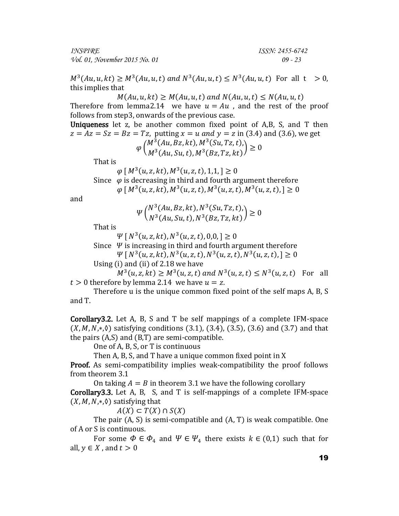$M^3(Au, u, kt) \ge M^3(Au, u, t)$  and  $N^3(Au, u, t) \le N^3(Au, u, t)$  For all  $t > 0$ , this implies that

 $M(Au, u, kt) \geq M(Au, u, t)$  and  $N(Au, u, t) \leq N(Au, u, t)$ Therefore from lemma2.14 we have  $u = Au$ , and the rest of the proof follows from step3, onwards of the previous case.

Uniqueness let z, be another common fixed point of A,B, S, and T then  $z = Az = Sz = Ez$ , putting  $x = u$  and  $y = z$  in (3.4) and (3.6), we get  $\varphi\Big(\frac{M^3(Au,Bz,kt)}{M^3(Au,Bz,kt)}\Big)^{3/3}$  $M^3(Au, Su, t), M^3(Bz, Tz, kt)) \geq M^3(Au, Su, t), M^3(Bz, Tz, kt))$ 

That is

 $\varphi$  [  $M^3(u, z, kt)$ ,  $M^3(u, z, t)$ , 1,1,]  $\geq$ Since  $\varphi$  is decreasing in third and fourth argument therefore  $\varphi$  [  $M^3(u, z, kt)$ ,  $M^3(u, z, t)$ ,  $M^3(u, z, t)$ ,  $M^3(u, z, t)$ ,  $] \geq$ 

and

$$
\Psi\begin{pmatrix}N^3(Au,Bz,kt),N^3(Su,Tz,t),\\N^3(Au,Su,t),N^3(Bz,Tz,kt)\end{pmatrix} \ge 0
$$

That is

 $\Psi [ N^3(u, z, kt), N^3(u, z, t), 0, 0, ] \geq$ 

Since  $\Psi$  is increasing in third and fourth argument therefore  $\Psi[N^3(u, z, kt), N^3(u, z, t), N^3(u, z, t), N^3(u, z, t),] \ge$ Using (i) and (ii) of 2.18 we have

 $M^3(u, z, kt) \ge M^3(u, z, t)$  and  $N^3(u, z, t) \le N^3(u, z, t)$  For all  $t > 0$  therefore by lemma 2.14 we have  $u = z$ .

Therefore u is the unique common fixed point of the self maps A, B, S and T.

Corollary3.2. Let A, B, S and T be self mappings of a complete IFM-space  $(X, M, N, * , 0)$  satisfying conditions  $(3.1), (3.4), (3.5), (3.6)$  and  $(3.7)$  and that the pairs (A,S) and (B,T) are semi-compatible.

One of A, B, S, or T is continuous

Then A, B, S, and T have a unique common fixed point in X

Proof. As semi-compatibility implies weak-compatibility the proof follows from theorem 3.1

On taking  $A = B$  in theorem 3.1 we have the following corollary Corollary3.3. Let A, B, S, and T is self-mappings of a complete IFM-space  $(X, M, N, * , 0)$  satisfying that

 $A(X) \subset T(X) \cap S(X)$ 

The pair (A, S) is semi-compatible and (A, T) is weak compatible. One of A or S is continuous.

For some  $\Phi \in \Phi_4$  and  $\Psi \in \Psi_4$  there exists  $k \in (0,1)$  such that for all,  $y \in X$ , and  $t > 0$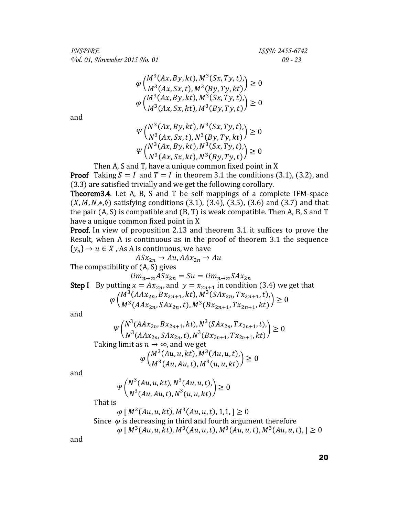$$
\varphi\left(\begin{matrix}M^3(Ax, By, kt), M^3(Sx, Ty, t),\\M^3(Ax, Sx, t), M^3(By, Ty, kt)\end{matrix}\right) \ge 0
$$
  

$$
\varphi\left(\begin{matrix}M^3(Ax, By, kt), M^3(Sx, Ty, t),\\M^3(Ax, Sx, kt), M^3(By, Ty, t)\end{matrix}\right) \ge 0
$$

and

$$
\Psi \begin{pmatrix} N^3(Ax, By, kt), N^3(Sx, Ty, t), \\ N^3(Ax, Sx, t), N^3(By, Ty, kt) \end{pmatrix} \ge 0
$$
  

$$
\Psi \begin{pmatrix} N^3(Ax, By, kt), N^3(Sx, Ty, t), \\ N^3(Ax, Sx, kt), N^3(By, Ty, t) \end{pmatrix} \ge 0
$$

Then A, S and T, have a unique common fixed point in X

**Proof** Taking  $S = I$  and  $T = I$  in theorem 3.1 the conditions (3.1), (3.2), and (3.3) are satisfied trivially and we get the following corollary.

Theorem3.4. Let A, B, S and T be self mappings of a complete IFM-space  $(X, M, N, * , \mathbf{\lozenge})$  satisfying conditions (3.1), (3.4), (3.5), (3.6) and (3.7) and that the pair (A, S) is compatible and (B, T) is weak compatible. Then A, B, S and T have a unique common fixed point in X

Proof. In view of proposition 2.13 and theorem 3.1 it suffices to prove the Result, when A is continuous as in the proof of theorem 3.1 the sequence  $\{y_n\} \rightarrow u \in X$ , As A is continuous, we have

 $ASx_{2n} \rightarrow Au, AAx_{2n} \rightarrow Au$ The compatibility of (A, S) gives

$$
\lim_{n \to \infty} ASx_{2n} = Su = \lim_{n \to \infty} SAx_{2n}
$$
  
Step I By putting  $x = Ax_{2n}$ , and  $y = x_{2n+1}$  in condition (3.4) we get that  

$$
M^3(AAx_{2n}, Bx_{2n+1}, kt), M^3(SAx_{2n}, Tx_{2n+1}, t),
$$

$$
\varphi\left(\stackrel{n_1}{M^3}(AAx_{2n},SAx_{2n},t),M^3(Bx_{2n+1},Tx_{2n+1},kt)\right) \ge 0
$$

and

$$
\psi \begin{pmatrix} N^3(AAx_{2n}, Bx_{2n+1}, kt), N^3(SAx_{2n}, Tx_{2n+1}, t), \\ N^3(AAx_{2n}, SAx_{2n}, t), N^3(Bx_{2n+1}, Tx_{2n+1}, kt) \end{pmatrix} \ge 0
$$
  
Taking limit as  $n \to \infty$ , and we get  

$$
\varphi \begin{pmatrix} M^3(Au, u, kt), M^3(Au, u, t), \\ M^3(Au, Au, t), M^3(u, u, kt) \end{pmatrix} \ge 0
$$

and

$$
\Psi\binom{N^3(Au, u, kt), N^3(Au, u, t),}{N^3(Au, Au, t), N^3(u, u, kt)} \ge 0
$$

That is

 $\varphi$  [  $M^3(Au, u, kt)$ ,  $M^3(Au, u, t)$ , 1,1, ]  $\geq$ Since  $\varphi$  is decreasing in third and fourth argument therefore  $\varphi$  [M<sup>3</sup>(Au, u, kt), M<sup>3</sup>(Au, u, t), M<sup>3</sup>(Au, u, t), M<sup>3</sup>(Au, u, t), ]  $\geq$ 

and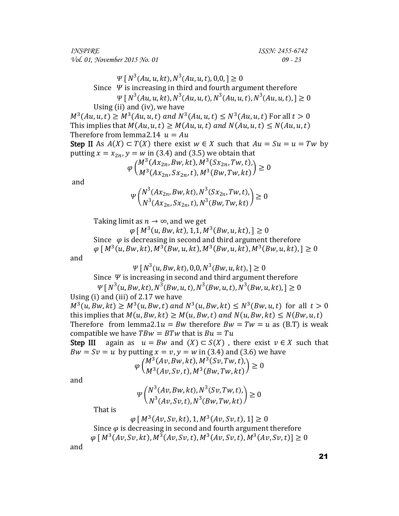$\Psi [ N^3(Au, u, kt), N^3(Au, u, t), 0, 0, ] \geq$ Since  $\Psi$  is increasing in third and fourth argument therefore  $\Psi \left[ N^3( Au, u, kt), N^3( Au, u, t), N^3( Au, u, t), N^3( Au, u, t), \right] \ge$ Using (ii) and (iv), we have  $M^3(Au, u, t) \ge M^3(Au, u, t)$  and  $N^3(Au, u, t) \le N^3(Au, u, t)$  For all This implies that  $M(Au, u, t) \geq M(Au, u, t)$  and  $N(Au, u, t) \leq N(Au, u, t)$ Therefore from lemma2.14  $u = Au$ **Step II** As  $A(X) \subset T(X)$  there exist  $w \in X$  such that  $Au = Su = u = Tw$  by putting  $x = x_{2n}$ ,  $y = w$  in (3.4) and (3.5) we obtain that  $\varphi\Big(\frac{M^3(Ax_{2n}, Bw, kt), M^3(Ay_{2n}, Bw_{2n}, k)}{M^3(Ay_{2n}, Bw_{2n}, k)}\Big)$  $M^3(Ax_{2n}, Sx_{2n}, t)$ ,  $M^3(Bw, Tw, kt)$   $\geq$ and  $\psi\left(N^3(Ax_{2n}, Bw, kt), N^3(t)\right)$  $N^3(Ax_{2n}, Sx_{2n}, t)$ ,  $N^3($  $\ge$ Taking limit as  $n \to \infty$ , and we get  $\varphi$  [  $M^3(u, Bw, kt)$ , 1,1,  $M^3(Bw, u, kt)$ , ]  $\geq$ Since  $\varphi$  is decreasing in second and third argument therefore  $\varphi$  [  $M^3(u, Bw, kt)$ ,  $M^3(Bw, u, kt)$ ,  $M^3(Bw, u, kt)$ ,  $M^3(Bw, u, kt)$ , ]  $\geq$ 

and

 $\Psi [ N^3(u, Bw, kt), 0, 0, N^3(Bw, u, kt), ] \geq$ Since  $\Psi$  is increasing in second and third argument therefore

 $\Psi \lceil N^3(u, Bw, kt), N^3(Bw, u, t), N^3(Bw, u, t), N^3(Bw, u, kt), \rceil \geq$ Using (i) and (iii) of 2.17 we have

 $M^{3}(u, Bw, kt) \geq M^{3}(u, Bw, t)$  and  $N^{3}(u, Bw, kt) \leq N^{3}(Bw, u, t)$  for all this implies that  $M(u, Bw, kt) \geq M(u, Bw, t)$  and  $N(u, Bw, kt) \leq N(Bw, u, t)$ Therefore from lemma2.1u = Bw therefore  $Bw = Tw = u$  as (B.T) is weak compatible we have  $T B w = B T w$  that is  $B u = T u$ 

**Step III** again as  $u = Bw$  and  $(X) \subset S(X)$ , there exist  $v \in X$  such that  $Bw = Sv = u$  by putting  $x = v, y = w$  in (3.4) and (3.6) we have

$$
\varphi\left(\begin{matrix}M^3(Av,Bw,kt),M^3(Sv,Tw,t),\\M^3(Av,Sv,t),M^3(Bw,Tw,kt)\end{matrix}\right)\geq 0
$$

and

$$
\Psi\left(\begin{matrix}N^3(Av,Bw,kt),N^3(Sv,Tw,t),\\N^3(Av,Sv,t),N^3(Bw,Tw,kt)\end{matrix}\right)\geq 0
$$

That is

 $\varphi$  [M<sup>3</sup>(Av, Sv, kt), 1, M<sup>3</sup>(Av, Sv, t), 1]  $\geq$ Since  $\varphi$  is decreasing in second and fourth argument therefore  $\varphi$  [M<sup>3</sup>(Av, Sv, kt), M<sup>3</sup>(Av, Sv, t), M<sup>3</sup>(Av, Sv, t), M<sup>3</sup>(Av, Sv, t)]  $\geq$ 

and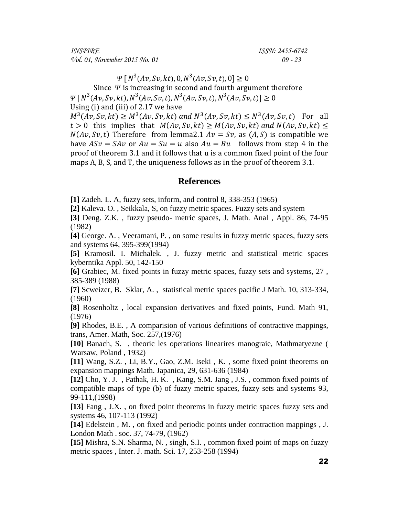$\Psi [N^3(Av, Sv, kt), 0, N^3(Av, Sv, t), 0] \ge$ 

Since  $\Psi$  is increasing in second and fourth argument therefore  $\Psi [ N^3 (Av, Sv, kt), N^3 (Av, Sv, t), N^3 (Av, Sv, t), N^3 (Av, Sv, t) ] \ge$ 

Using (i) and (iii) of 2.17 we have

 $M^3(Av, Sv, kt) \geq M^3(Av, Sv, kt)$  and  $N^3(Av, Sv, kt) \leq N^3(Av, Sv, t)$  For all  $t > 0$  this implies that  $M(Av, Sv, kt) \geq M(Av, Sv, kt)$  and  $N(Av, Sv, kt) \leq$  $N(Av, Sv, t)$  Therefore from lemma2.1  $Av = Sv$ , as  $(A, S)$  is compatible we have  $ASv = SAv$  or  $Au = Su = u$  also  $Au = Bu$  follows from step 4 in the proof of theorem 3.1 and it follows that u is a common fixed point of the four maps A, B, S, and T, the uniqueness follows as in the proof of theorem 3.1.

#### **References**

**[1]** Zadeh. L. A, fuzzy sets, inform, and control 8, 338-353 (1965)

**[2]** Kaleva. O. , Seikkala, S, on fuzzy metric spaces. Fuzzy sets and system

**[3]** Deng. Z.K. , fuzzy pseudo- metric spaces, J. Math. Anal , Appl. 86, 74-95 (1982)

**[4]** George. A. , Veeramani, P. , on some results in fuzzy metric spaces, fuzzy sets and systems 64, 395-399(1994)

**[5]** Kramosil. I. Michalek. , J. fuzzy metric and statistical metric spaces kyberntika Appl. 50, 142-150

**[6]** Grabiec, M. fixed points in fuzzy metric spaces, fuzzy sets and systems, 27 , 385-389 (1988)

**[7]** Scweizer, B. Sklar, A. , statistical metric spaces pacific J Math. 10, 313-334, (1960)

**[8]** Rosenholtz , local expansion derivatives and fixed points, Fund. Math 91, (1976)

**[9]** Rhodes, B.E. , A comparision of various definitions of contractive mappings, trans, Amer. Math, Soc. 257,(1976)

**[10]** Banach, S. , theoric les operations linearires manograie, Mathmatyezne ( Warsaw, Poland , 1932)

**[11]** Wang, S.Z. , Li, B.Y., Gao, Z.M. Iseki , K. , some fixed point theorems on expansion mappings Math. Japanica, 29, 631-636 (1984)

**[12]** Cho, Y. J. , Pathak, H. K. , Kang, S.M. Jang , J.S. , common fixed points of compatible maps of type (b) of fuzzy metric spaces, fuzzy sets and systems 93, 99-111,(1998)

[13] Fang, J.X., on fixed point theorems in fuzzy metric spaces fuzzy sets and systems 46, 107-113 (1992)

**[14]** Edelstein , M. , on fixed and periodic points under contraction mappings , J. London Math . soc. 37, 74-79, (1962)

**[15]** Mishra, S.N. Sharma, N. , singh, S.I. , common fixed point of maps on fuzzy metric spaces , Inter. J. math. Sci. 17, 253-258 (1994)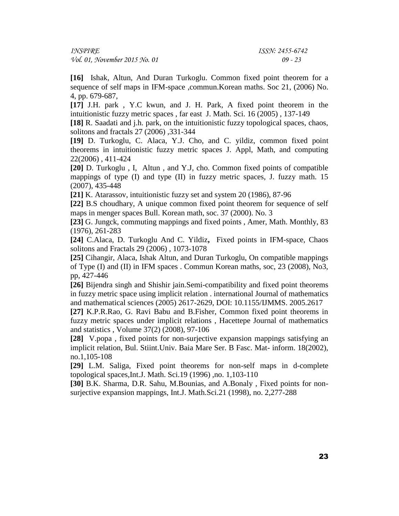**[16]** Ishak, Altun, And Duran Turkoglu. Common fixed point theorem for a sequence of self maps in IFM-space ,commun.Korean maths. Soc 21, (2006) No. 4, pp. 679-687,

**[17]** J.H. park , Y.C kwun, and J. H. Park, A fixed point theorem in the intuitionistic fuzzy metric spaces , far east J. Math. Sci. 16 (2005) , 137-149

**[18]** R. Saadati and j.h. park, on the intuitionistic fuzzy topological spaces, chaos, solitons and fractals 27 (2006) ,331-344

**[19]** D. Turkoglu, C. Alaca, Y.J. Cho, and C. yildiz, common fixed point theorems in intuitionistic fuzzy metric spaces J. Appl, Math, and computing 22(2006) , 411-424

**[20]** D. Turkoglu , I, Altun , and Y.J, cho. Common fixed points of compatible mappings of type  $(I)$  and type  $(II)$  in fuzzy metric spaces, J. fuzzy math. 15 (2007), 435-448

**[21]** K. Atarassov, intuitionistic fuzzy set and system 20 (1986), 87-96

**[22]** B.S choudhary, A unique common fixed point theorem for sequence of self maps in menger spaces Bull. Korean math, soc. 37 (2000). No. 3

**[23]** G. Jungck, commuting mappings and fixed points , Amer, Math. Monthly, 83 (1976), 261-283

**[24]** C.Alaca, D. Turkoglu And C. Yildiz**,** Fixed points in IFM-space, Chaos solitons and Fractals 29 (2006) , 1073-1078

**[25]** Cihangir, Alaca, Ishak Altun, and Duran Turkoglu, On compatible mappings of Type (I) and (II) in IFM spaces . Commun Korean maths, soc, 23 (2008), No3, pp, 427-446

**[26]** Bijendra singh and Shishir jain.Semi-compatibility and fixed point theorems in fuzzy metric space using implicit relation . international Journal of mathematics and mathematical sciences (2005) 2617-2629, DOI: 10.1155/IJMMS. 2005.2617

**[27]** K.P.R.Rao, G. Ravi Babu and B.Fisher, Common fixed point theorems in fuzzy metric spaces under implicit relations , Hacettepe Journal of mathematics and statistics , Volume 37(2) (2008), 97-106

**[28]** V.popa , fixed points for non-surjective expansion mappings satisfying an implicit relation, Bul. Stiint.Univ. Baia Mare Ser. B Fasc. Mat- inform. 18(2002), no.1,105-108

**[29]** L.M. Saliga, Fixed point theorems for non-self maps in d-complete topological spaces,Int.J. Math. Sci.19 (1996) ,no. 1,103-110

**[30]** B.K. Sharma, D.R. Sahu, M.Bounias, and A.Bonaly , Fixed points for nonsurjective expansion mappings, Int.J. Math.Sci.21 (1998), no. 2,277-288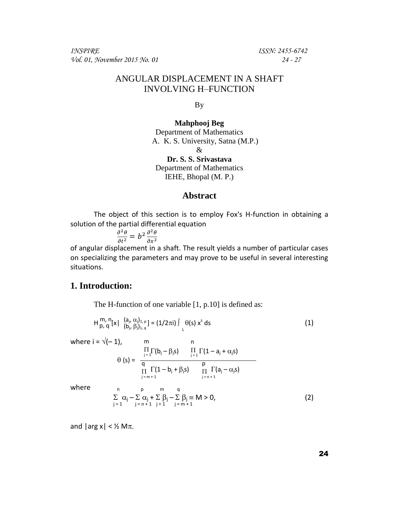# ANGULAR DISPLACEMENT IN A SHAFT INVOLVING H–FUNCTION

By

#### **Mahphooj Beg**

Department of Mathematics A. K. S. University, Satna (M.P.) & **Dr. S. S. Srivastava** Department of Mathematics

IEHE, Bhopal (M. P.)

### **Abstract**

The object of this section is to employ Fox's H-function in obtaining a solution of the partial differential equation

$$
\frac{\partial^2 \theta}{\partial t^2} = b^2 \frac{\partial^2 \theta}{\partial x^2}
$$

m

of angular displacement in a shaft. The result yields a number of particular cases on specializing the parameters and may prove to be useful in several interesting situations.

### **1. Introduction:**

The H-function of one variable [1, p.10] is defined as:

$$
H_{p, q}^{m, n}[x] \begin{cases} (a_{j}, \alpha_{j})_{1, p} \\ (b_{j}, \beta_{j})_{1, q} \end{cases} = (1/2\pi i) \int_{L} \theta(s) x^{s} ds
$$
 (1)

where i =  $\sqrt{(-1)}$ ,

$$
\theta(s) = \frac{\prod\limits_{j=1}^{n} \Gamma(b_j - \beta_j s) - \prod\limits_{j=1}^{n} \Gamma(1 - a_j + \alpha_j s)}{\prod\limits_{j=m+1}^{n} \Gamma(1 - b_j + \beta_j s) - \prod\limits_{j=n+1}^{n} \Gamma(a_j - \alpha_j s)}
$$

n

where

$$
\sum_{j=1}^{n} \alpha_j - \sum_{j=n+1}^{p} \alpha_j + \sum_{j=1}^{m} \beta_j - \sum_{j=m+1}^{q} \beta_j \equiv M > 0,
$$
\n(2)

and  $\left|\arg x\right| < \frac{1}{2}$  M $\pi$ .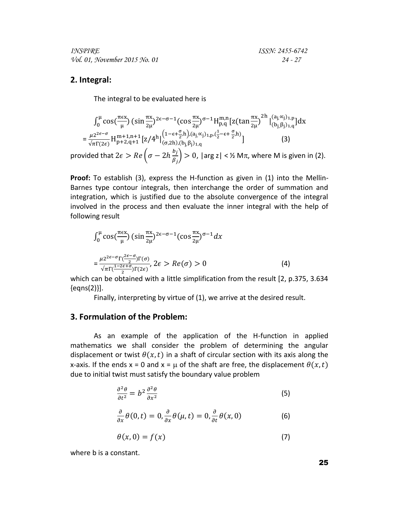#### **2. Integral:**

The integral to be evaluated here is

$$
\int_{0}^{\mu} \cos(\frac{\pi \epsilon x}{\mu}) \left( \sin \frac{\pi x}{2\mu} \right)^{2\epsilon - \sigma - 1} (\cos \frac{\pi x}{2\mu})^{\sigma - 1} H_{p,q}^{m,n} \left[ z (\tan \frac{\pi x}{2\mu})^{2h} \Big|_{(b_{j}, \beta_{j})_{1,q}}^{(a_{j}, \alpha_{j})_{1,p}} \right] dx
$$
  
= 
$$
\frac{\mu^{22\epsilon - \sigma}}{\sqrt{\pi \Gamma(2\epsilon)}} H_{p+2,q+1}^{m+1,n+1} \left[ z/4^{h} \Big|_{(\sigma, 2h), (b_{j}, \beta_{j})_{1,q}}^{(1-\epsilon + \frac{\sigma}{2}, h), (a_{j}, \alpha_{j})_{1,p}/(\frac{1}{2}-\epsilon + \frac{\sigma}{2}, h)} \right]
$$
(3)

provided that  $2\epsilon > Re\left(\sigma - 2h \frac{\nu_I}{\beta_I}\right) > 0$ , |arg z| < ½ M $\pi$ , where M is given in (2).

**Proof:** To establish (3), express the H-function as given in (1) into the Mellin-Barnes type contour integrals, then interchange the order of summation and integration, which is justified due to the absolute convergence of the integral involved in the process and then evaluate the inner integral with the help of following result

$$
\int_0^{\mu} \cos(\frac{\pi \epsilon x}{\mu}) \left( \sin \frac{\pi x}{2\mu} \right)^{2\epsilon - \sigma - 1} (\cos \frac{\pi x}{2\mu})^{\sigma - 1} dx
$$

$$
= \frac{\mu 2^{2\epsilon - \sigma} \Gamma(\frac{2\epsilon - \sigma}{2}) \Gamma(\sigma)}{\sqrt{\pi} \Gamma(\frac{1 - 2\epsilon + \sigma}{2}) \Gamma(2\epsilon)}, 2\epsilon > Re(\sigma) > 0
$$
(4)

which can be obtained with a little simplification from the result [2, p.375, 3.634 {eqns(2)}].

Finally, interpreting by virtue of (1), we arrive at the desired result.

# **3. Formulation of the Problem:**

As an example of the application of the H-function in applied mathematics we shall consider the problem of determining the angular displacement or twist  $\theta(x, t)$  in a shaft of circular section with its axis along the x-axis. If the ends  $x = 0$  and  $x = \mu$  of the shaft are free, the displacement  $\theta(x, t)$ due to initial twist must satisfy the boundary value problem

$$
\frac{\partial^2 \theta}{\partial t^2} = b^2 \frac{\partial^2 \theta}{\partial x^2} \tag{5}
$$

$$
\frac{\partial}{\partial x}\theta(0,t) = 0, \frac{\partial}{\partial x}\theta(\mu,t) = 0, \frac{\partial}{\partial t}\theta(x,0)
$$
 (6)

$$
\theta(x,0) = f(x) \tag{7}
$$

where b is a constant.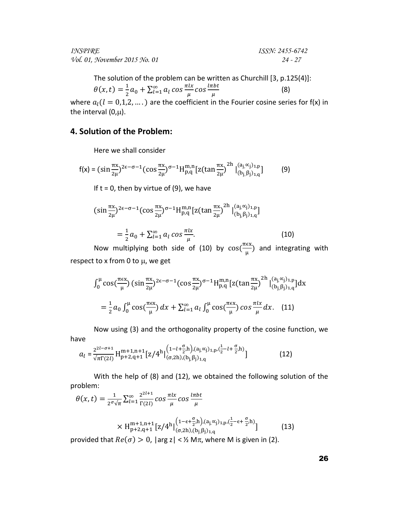The solution of the problem can be written as Churchill [3, p.125(4)]:

$$
\theta(x,t) = \frac{1}{2}a_0 + \sum_{l=1}^{\infty} a_l \cos \frac{\pi lx}{\mu} \cos \frac{l\pi bt}{\mu}
$$
 (8)

where  $a_l$  ( $l = 0,1,2,...$  ) are the coefficient in the Fourier cosine series for f(x) in the interval  $(0,\mu)$ .

### **4. Solution of the Problem:**

Here we shall consider

$$
f(x) = (\sin \frac{\pi x}{2\mu})^{2\epsilon - \sigma - 1} (\cos \frac{\pi x}{2\mu})^{\sigma - 1} H_{p,q}^{m,n} [z(\tan \frac{\pi x}{2\mu})^{2h} |_{(b_j, \beta_j)_{1,q}}^{(a_j, \alpha_j)_{1,p}}]
$$
(9)

If  $t = 0$ , then by virtue of (9), we have

$$
(\sin \frac{\pi x}{2\mu})^{2\epsilon - \sigma - 1} (\cos \frac{\pi x}{2\mu})^{\sigma - 1} H_{p,q}^{m,n} [z (\tan \frac{\pi x}{2\mu})^{2h} |_{(b_j, \beta_j)_{1,q}}^{(a_j, \alpha_j)_{1,p}}]
$$
  
=  $\frac{1}{2} a_0 + \sum_{l=1}^{\infty} a_l \cos \frac{\pi l x}{\mu}$ . (10)

Now multiplying both side of (10) by  $cos(\frac{\pi}{2})$  $\frac{1}{\mu}$ ) and integrating with respect to x from 0 to  $\mu$ , we get

$$
\int_0^{\mu} \cos(\frac{\pi \epsilon x}{\mu}) \left( \sin \frac{\pi x}{2\mu} \right)^{2\epsilon - \sigma - 1} \left( \cos \frac{\pi x}{2\mu} \right)^{\sigma - 1} H_{p,q}^{m,n} \left[ z (\tan \frac{\pi x}{2\mu})^{2h} \Big|_{(b_j, \beta_j)_{1,q}}^{(a_j, \alpha_j)_{1,p}} \right] dx
$$
  
=  $\frac{1}{2} a_0 \int_0^{\mu} \cos(\frac{\pi \epsilon x}{\mu}) dx + \sum_{l=1}^{\infty} a_l \int_0^{\mu} \cos(\frac{\pi \epsilon x}{\mu}) \cos \frac{\pi l x}{\mu} dx.$  (11)

Now using (3) and the orthogonality property of the cosine function, we have

$$
a_{l} = \frac{2^{2l - \sigma + 1}}{\sqrt{\pi \Gamma(2l)}} H_{p+2,q+1}^{m+1,n+1} \left[ z/4^{h} \right]_{(\sigma,2h), (b_{j}, \beta_{j})_{1,q}}^{(1-l + \frac{\sigma}{2}, h), (a_{j}, \alpha_{j})_{1,p}(\frac{1}{2}-l + \frac{\sigma}{2}, h)} \tag{12}
$$

With the help of (8) and (12), we obtained the following solution of the problem:

$$
\theta(x,t) = \frac{1}{2^{\sigma}\sqrt{\pi}} \sum_{l=1}^{\infty} \frac{2^{2l+1}}{\Gamma(2l)} \cos \frac{\pi lx}{\mu} \cos \frac{l\pi bt}{\mu}
$$
  
 
$$
\times H_{p+2,q+1}^{m+1,n+1} [Z/4^h]_{(\sigma,2h),(b_j,\beta_j)_{1,q}}^{(1-\epsilon+\frac{\sigma}{2},h),(a_j,\alpha_j)_{1,p}(\frac{1}{2}-\epsilon+\frac{\sigma}{2},h)}]
$$
(13)  
provided that  $Re(\sigma) > 0$  large  $z \le M\pi$  where M is given in (2)

provided that  $Re(\sigma) > 0$ , |arg z| < ½ M $\pi$ , where M is given in (2).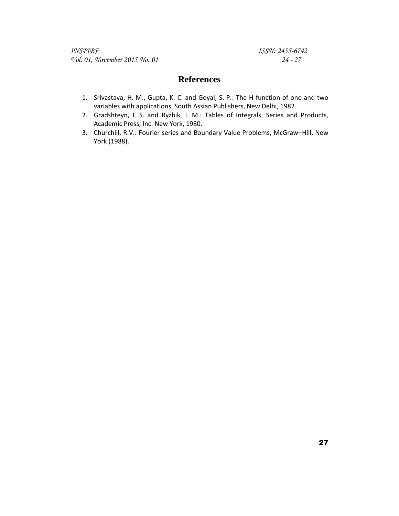# **References**

- 1. Srivastava, H. M., Gupta, K. C. and Goyal, S. P.: The H-function of one and two variables with applications, South Assian Publishers, New Delhi, 1982.
- 2. Gradshteyn, I. S. and Ryzhik, I. M.: Tables of Integrals, Series and Products, Academic Press, Inc. New York, 1980.
- 3. Churchill, R.V.: Fourier series and Boundary Value Problems, McGraw–Hill, New York (1988).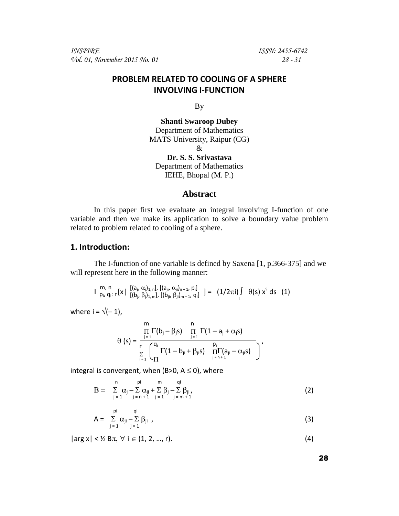# **PROBLEM RELATED TO COOLING OF A SPHERE INVOLVING I-FUNCTION**

By

**Shanti Swaroop Dubey**  Department of Mathematics MATS University, Raipur (CG) & **Dr. S. S. Srivastava** Department of Mathematics IEHE, Bhopal (M. P.)

# **Abstract**

In this paper first we evaluate an integral involving I-function of one variable and then we make its application to solve a boundary value problem related to problem related to cooling of a sphere.

## **1. Introduction:**

The I-function of one variable is defined by Saxena [1, p.366-375] and we will represent here in the following manner:

$$
\begin{array}{cc} I \begin{array}{c} m, n \\ p_i, q_i \colon r \end{array} \begin{bmatrix} [a_j, \alpha_j]_{1, n}], [ (a_{ji}, \alpha_{ji})_{n+1}, p_i] \\ [ (b_j, \beta_j]_{1, m}], [ (b_{ji}, \beta_{ji})_{m+1}, q_i] \end{bmatrix} = (1/2\pi i) \begin{bmatrix} \theta(s) \, x^s \, ds & (1) \end{bmatrix} \end{array}
$$

where  $i = \sqrt{(-1)}$ ,

$$
\theta(s) = \frac{\prod\limits_{j=1}^{m} \Gamma(b_j - \beta_j s) - \prod\limits_{j=1}^{n} \Gamma(1 - a_j + \alpha_j s)}{\sum\limits_{i=1}^{r} \left(\prod\limits_{\Pi}^{q_i} \Gamma(1 - b_{ji} + \beta_{ji} s) - \prod\limits_{j=n+1}^{p_i} (a_{ji} - \alpha_{ji} s)\right)^{r}}
$$

integral is convergent, when (B>0,  $A \le 0$ ), where

$$
B = \sum_{j=1}^{n} \alpha_j - \sum_{j=n+1}^{pi} \alpha_{ji} + \sum_{j=1}^{n} \beta_j - \sum_{j=m+1}^{qi} \beta_{ji},
$$
\n(2)

$$
A = \sum_{j=1}^{pi} \alpha_{ji} - \sum_{j=1}^{qi} \beta_{ji} , \qquad (3)
$$

 $|\arg x| < \frac{1}{2}$  B $\pi, \forall i \in (1, 2, ..., r).$  (4)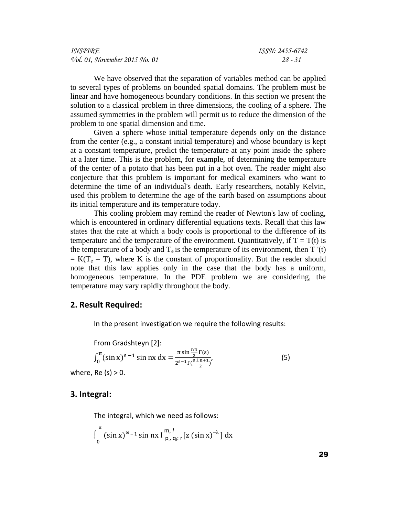| INSPIRE                       | ISSN: 2455-6742 |
|-------------------------------|-----------------|
| Vol. 01, November 2015 No. 01 | $28 - 31$       |

We have observed that the separation of variables method can be applied to several types of problems on bounded spatial domains. The problem must be linear and have homogeneous boundary conditions. In this section we present the solution to a classical problem in three dimensions, the cooling of a sphere. The assumed symmetries in the problem will permit us to reduce the dimension of the problem to one spatial dimension and time.

Given a sphere whose initial temperature depends only on the distance from the center (e.g., a constant initial temperature) and whose boundary is kept at a constant temperature, predict the temperature at any point inside the sphere at a later time. This is the problem, for example, of determining the temperature of the center of a potato that has been put in a hot oven. The reader might also conjecture that this problem is important for medical examiners who want to determine the time of an individual's death. Early researchers, notably Kelvin, used this problem to determine the age of the earth based on assumptions about its initial temperature and its temperature today.

This cooling problem may remind the reader of Newton's law of cooling, which is encountered in ordinary differential equations texts. Recall that this law states that the rate at which a body cools is proportional to the difference of its temperature and the temperature of the environment. Quantitatively, if  $T = T(t)$  is the temperature of a body and  $T_e$  is the temperature of its environment, then T '(t)  $= K(T_e - T)$ , where K is the constant of proportionality. But the reader should note that this law applies only in the case that the body has a uniform, homogeneous temperature. In the PDE problem we are considering, the temperature may vary rapidly throughout the body.

# **2. Result Required:**

In the present investigation we require the following results:

From Gradshteyn [2]:  
\n
$$
\int_0^{\pi} (\sin x)^{s-1} \sin nx \, dx = \frac{\pi \sin \frac{n\pi}{2} \Gamma(s)}{2^{s-1} \Gamma(\frac{s+n+1}{2})},
$$
\n(5)

where, Re  $(s) > 0$ .

### **3. Integral:**

The integral, which we need as follows:

$$
\int_{0}^{\pi} (\sin x)^{\omega_{-1}} \sin nx \, I_{p_{i}, q_{i}: r}^{m, l} [z (\sin x)^{-\lambda}] \, dx
$$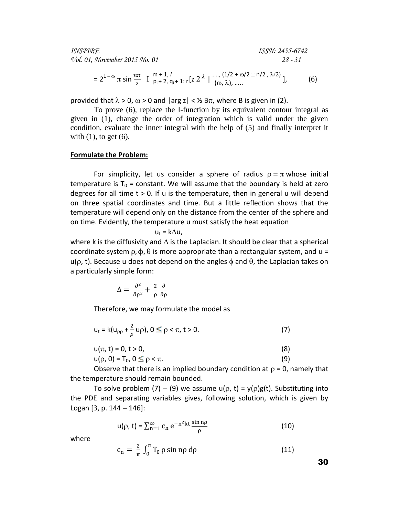$$
=2^{1-\omega}\,\pi\sin\frac{n\pi}{2}\,\left[\,\frac{m+1,1}{p_i+2,\,q_i+1;\,r}[2\,2^{\lambda}\mid\frac{....,(1/2+\omega/2\pm n/2\,,\,\lambda/2)}{(\omega,\,\lambda),\,....}\,\right],\qquad \qquad (6)
$$

provided that  $\lambda > 0$ ,  $\omega > 0$  and  $|\arg z| < \frac{1}{2}$  B $\pi$ , where B is given in (2).

To prove (6), replace the I-function by its equivalent contour integral as given in (1), change the order of integration which is valid under the given condition, evaluate the inner integral with the help of (5) and finally interpret it with  $(1)$ , to get  $(6)$ .

#### **Formulate the Problem:**

For simplicity, let us consider a sphere of radius  $\rho = \pi$  whose initial temperature is  $T_0$  = constant. We will assume that the boundary is held at zero degrees for all time  $t > 0$ . If u is the temperature, then in general u will depend on three spatial coordinates and time. But a little reflection shows that the temperature will depend only on the distance from the center of the sphere and on time. Evidently, the temperature u must satisfy the heat equation

 $u_t = k\Delta u$ ,

where k is the diffusivity and  $\Delta$  is the Laplacian. It should be clear that a spherical coordinate system  $\rho$ ,  $\phi$ ,  $\theta$  is more appropriate than a rectangular system, and u =  $u(\rho, t)$ . Because u does not depend on the angles  $\phi$  and  $\theta$ , the Laplacian takes on a particularly simple form:

$$
\Delta = \frac{\partial^2}{\partial \rho^2} + \frac{2}{\rho} \frac{\partial}{\partial \rho}
$$

Therefore, we may formulate the model as

$$
u_t = k(u_{\rho\rho} + \frac{2}{\rho}u\rho), \quad 0 \le \rho < \pi, \quad t > 0. \tag{7}
$$

$$
u(\pi, t) = 0, t > 0,
$$
 (8)

$$
u(\rho, 0) = T_0, 0 \leq \rho < \pi. \tag{9}
$$

Observe that there is an implied boundary condition at  $\rho = 0$ , namely that the temperature should remain bounded.

To solve problem (7) – (9) we assume  $u(\rho, t) = y(\rho)g(t)$ . Substituting into the PDE and separating variables gives, following solution, which is given by Logan  $[3, p. 144 - 146]$ :

$$
u(\rho, t) = \sum_{n=1}^{\infty} c_n e^{-n^2kt} \frac{\sin n\rho}{\rho}
$$
 (10)

where

$$
c_n = \frac{2}{\pi} \int_0^{\pi} T_0 \rho \sin n\rho \, d\rho \tag{11}
$$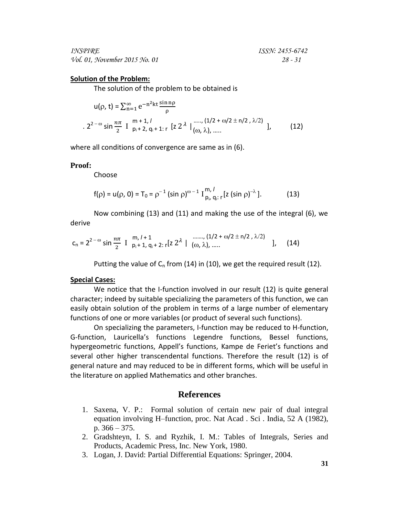| INSPIRE                       | ISSN: 2455-6742 |
|-------------------------------|-----------------|
| Vol. 01, November 2015 No. 01 | $28 - 31$       |

#### **Solution of the Problem:**

The solution of the problem to be obtained is

$$
u(\rho, t) = \sum_{n=1}^{\infty} e^{-n^2 kt} \frac{\sin n\rho}{\rho}
$$
  
.  $2^{2-\omega} \sin \frac{n\pi}{2} \left[ \frac{m+1}{p_1+2}, \frac{1}{q_1+1} \right]$   $[z \ 2^{\lambda}]$   $\Big| \frac{1}{2} \left( \frac{1}{2} + \frac{\omega}{2} \right) \frac{1}{2} + \frac{1}{2} \left( \frac{1}{2} \right) \frac{1}{2} \Big|$   $\Big| \frac{1}{2} \Big| \frac{1}{2} \Big| \frac{1}{2} \Big| \frac{1}{2} \Big| \frac{1}{2} \Big| \frac{1}{2} \Big| \frac{1}{2} \Big| \frac{1}{2} \Big| \frac{1}{2} \Big| \frac{1}{2} \Big| \frac{1}{2} \Big| \frac{1}{2} \Big| \frac{1}{2} \Big| \frac{1}{2} \Big| \frac{1}{2} \Big| \frac{1}{2} \Big| \frac{1}{2} \Big| \frac{1}{2} \Big| \frac{1}{2} \Big| \frac{1}{2} \Big| \frac{1}{2} \Big| \frac{1}{2} \Big| \frac{1}{2} \Big| \frac{1}{2} \Big| \frac{1}{2} \Big| \frac{1}{2} \Big| \frac{1}{2} \Big| \frac{1}{2} \Big| \frac{1}{2} \Big| \frac{1}{2} \Big| \frac{1}{2} \Big| \frac{1}{2} \Big| \frac{1}{2} \Big| \frac{1}{2} \Big| \frac{1}{2} \Big| \frac{1}{2} \Big| \frac{1}{2} \Big| \frac{1}{2} \Big| \frac{1}{2} \Big| \frac{1}{2} \Big| \frac{1}{2} \Big| \frac{1}{2} \Big| \frac{1}{2} \Big| \frac{1}{2} \Big| \frac{1}{2} \Big| \frac{1}{2} \Big| \frac{1}{2} \Big| \frac{1}{2} \Big| \frac{1}{2} \Big| \frac{1}{2} \Big| \frac{1}{2} \Big| \frac{1}{2} \Big| \frac{1}{2} \Big| \frac{1}{2} \Big| \frac{1}{2} \Big| \frac{1}{2} \Big| \frac{1}{2} \Big| \$ 

where all conditions of convergence are same as in (6).

#### **Proof:**

Choose

$$
f(\rho) = u(\rho, 0) = T_0 = \rho^{-1} (\sin \rho)^{\omega - 1} I_{\rho_i, q_i; r}^{m, l} [z (\sin \rho)^{-\lambda}].
$$
 (13)

Now combining (13) and (11) and making the use of the integral (6), we derive

$$
c_n = 2^{2-\omega} \sin \frac{n\pi}{2} I_{p_i+1, q_i+2: r} [z 2^{\lambda} |_{(0, \lambda), \dots}^{m \dots (1/2 + \omega/2 \pm n/2, \lambda/2)}], \quad (14)
$$

Putting the value of  $C_n$  from (14) in (10), we get the required result (12).

#### **Special Cases:**

We notice that the I-function involved in our result (12) is quite general character; indeed by suitable specializing the parameters of this function, we can easily obtain solution of the problem in terms of a large number of elementary functions of one or more variables (or product of several such functions).

On specializing the parameters, I-function may be reduced to H-function, G-function, Lauricella's functions Legendre functions, Bessel functions, hypergeometric functions, Appell's functions, Kampe de Feriet's functions and several other higher transcendental functions. Therefore the result (12) is of general nature and may reduced to be in different forms, which will be useful in the literature on applied Mathematics and other branches.

#### **References**

- 1. Saxena, V. P.: Formal solution of certain new pair of dual integral equation involving H–function, proc. Nat Acad . Sci . India, 52 A (1982), p. 366 – 375.
- 2. Gradshteyn, I. S. and Ryzhik, I. M.: Tables of Integrals, Series and Products, Academic Press, Inc. New York, 1980.
- 3. Logan, J. David: Partial Differential Equations: Springer, 2004.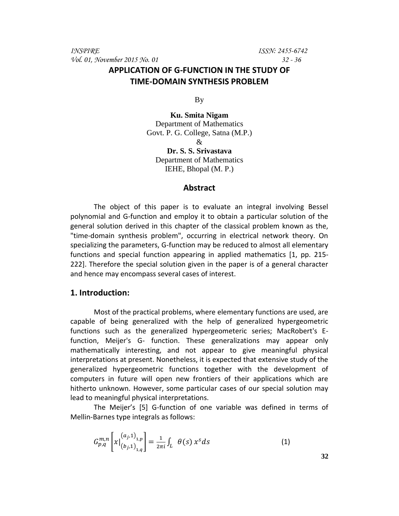# **APPLICATION OF G-FUNCTION IN THE STUDY OF TIME-DOMAIN SYNTHESIS PROBLEM**

By

**Ku. Smita Nigam** Department of Mathematics Govt. P. G. College, Satna (M.P.) & **Dr. S. S. Srivastava** Department of Mathematics IEHE, Bhopal (M. P.)

#### **Abstract**

The object of this paper is to evaluate an integral involving Bessel polynomial and G-function and employ it to obtain a particular solution of the general solution derived in this chapter of the classical problem known as the, "time-domain synthesis problem", occurring in electrical network theory. On specializing the parameters, G-function may be reduced to almost all elementary functions and special function appearing in applied mathematics [1, pp. 215- 222]. Therefore the special solution given in the paper is of a general character and hence may encompass several cases of interest.

#### **1. Introduction:**

Most of the practical problems, where elementary functions are used, are capable of being generalized with the help of generalized hypergeometric functions such as the generalized hypergeometeric series; MacRobert's Efunction, Meijer's G- function. These generalizations may appear only mathematically interesting, and not appear to give meaningful physical interpretations at present. Nonetheless, it is expected that extensive study of the generalized hypergeometric functions together with the development of computers in future will open new frontiers of their applications which are hitherto unknown. However, some particular cases of our special solution may lead to meaningful physical interpretations.

The Meijer's [5] G-function of one variable was defined in terms of Mellin-Barnes type integrals as follows:

$$
G_{p,q}^{m,n}\left[x\Big|_{(b_j,1)_{1,q}}^{(a_j,1)}\right] = \frac{1}{2\pi i} \int_L \theta(s) x^s ds \tag{1}
$$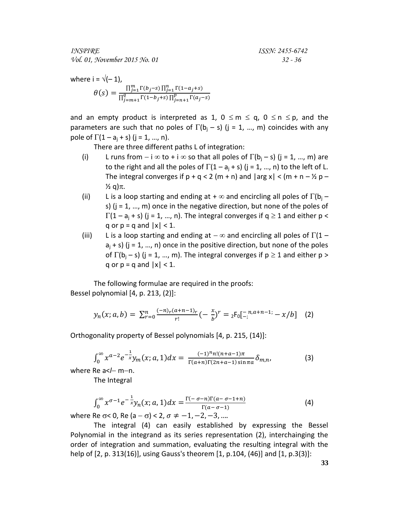where  $i = \sqrt{(-1)}$ ,

 $\theta(s) = \frac{\prod_{j=1}^{m} \Gamma(b_j - s) \prod_{j=1}^{n} \Gamma(b_j - s)}{\Gamma(a, b, s) \Gamma^p}$  $\prod_{i=m+1}^{q} \Gamma$  $\prod_{j=m+1}^{q} \Gamma(1-b_j+s) \prod_{j=n+1}^{p} \Gamma$ j

and an empty product is interpreted as 1,  $0 \le m \le q$ ,  $0 \le n \le p$ , and the parameters are such that no poles of  $\Gamma(b_i - s)$  (j = 1, ..., m) coincides with any pole of  $\Gamma(1 - a_i + s)$  (j = 1, ..., n).

There are three different paths L of integration:

- (i) L runs from  $-i \infty$  to  $+i \infty$  so that all poles of  $\Gamma(b_i s)$  (j = 1, …, m) are to the right and all the poles of  $\Gamma(1 - a_i + s)$  (j = 1, ..., n) to the left of L. The integral converges if  $p + q < 2$  (m + n) and  $|arg x| < (m + n - \frac{1}{2}p \frac{1}{2}$  q) $\pi$ .
- (ii) L is a loop starting and ending at  $+\infty$  and encircling all poles of  $\Gamma(b_i$ s)  $(j = 1, ..., m)$  once in the negative direction, but none of the poles of  $\Gamma(1 - a_i + s)$  (j = 1, ..., n). The integral converges if q  $\geq 1$  and either p < q or  $p = q$  and  $|x| < 1$ .
- (iii) L is a loop starting and ending at  $-\infty$  and encircling all poles of  $\Gamma(1$  $a<sub>i</sub> + s$ ) (j = 1, ..., n) once in the positive direction, but none of the poles of  $\Gamma(b_i - s)$  (j = 1, ..., m). The integral converges if  $p \ge 1$  and either p > q or  $p = q$  and  $|x| < 1$ .

The following formulae are required in the proofs: Bessel polynomial [4, p. 213, (2)]:

$$
y_n(x;a,b) = \sum_{r=0}^n \frac{(-n)_r(a+n-1)_r}{r!} (-\frac{x}{b})^r = {}_2F_0[-\frac{n}{b},a+n-1; -x/b] \quad (2)
$$

Orthogonality property of Bessel polynomials [4, p. 215, (14)]:

$$
\int_0^\infty x^{a-2} e^{-\frac{1}{x}} y_m(x; a, 1) dx = \frac{(-1)^n n! (n+a-1)\pi}{\Gamma(a+n)\Gamma(2n+a-1)\sin \pi a} \delta_{m,n},
$$
 (3)

where Re a< $l$ – m–n.

The Integral

$$
\int_0^\infty x^{\sigma-1} e^{-\frac{1}{x}} y_n(x; a, 1) dx = \frac{\Gamma(-\sigma-n)\Gamma(a-\sigma-1+n)}{\Gamma(a-\sigma-1)}
$$
(4)

where Re  $\sigma$ < 0, Re  $(a - \sigma)$  < 2,  $\sigma \neq -1, -2, -3, ...$ 

The integral (4) can easily established by expressing the Bessel Polynomial in the integrand as its series representation (2), interchainging the order of integration and summation, evaluating the resulting integral with the help of [2, p. 313(16)], using Gauss's theorem [1, p.104, (46)] and [1, p.3(3)]: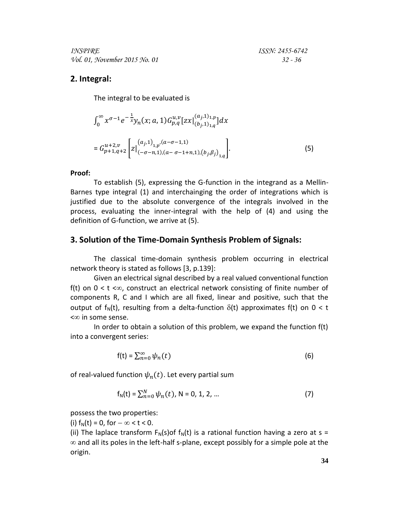### **2. Integral:**

The integral to be evaluated is

$$
\int_0^\infty x^{\sigma-1} e^{-\frac{1}{x}} y_n(x; a, 1) G_{p,q}^{u,v} [zx]_{(b_j, 1)_{1,q}}^{(a_j, 1)_{1,p}}] dx
$$
  
=  $G_{p+1,q+2}^{u+2,v} [z]_{(-\sigma-n, 1), (a-\sigma-1+n, 1), (b_j, \beta_j)_{1,q}}^{(a_j, 1)_{1,p}}].$  (5)

#### **Proof:**

To establish (5), expressing the G-function in the integrand as a Mellin-Barnes type integral (1) and interchainging the order of integrations which is justified due to the absolute convergence of the integrals involved in the process, evaluating the inner-integral with the help of (4) and using the definition of G-function, we arrive at (5).

### **3. Solution of the Time-Domain Synthesis Problem of Signals:**

The classical time-domain synthesis problem occurring in electrical network theory is stated as follows [3, p.139]:

Given an electrical signal described by a real valued conventional function f(t) on  $0 < t < \infty$ , construct an electrical network consisting of finite number of components R, C and I which are all fixed, linear and positive, such that the output of  $f_N(t)$ , resulting from a delta-function  $\delta(t)$  approximates f(t) on  $0 < t$  $\infty$  in some sense.

In order to obtain a solution of this problem, we expand the function f(t) into a convergent series:

$$
f(t) = \sum_{n=0}^{\infty} \psi_n(t)
$$
 (6)

of real-valued function  $\psi_n(t)$ . Let every partial sum

$$
f_N(t) = \sum_{n=0}^{N} \psi_n(t), \ N = 0, 1, 2, ... \tag{7}
$$

possess the two properties:

(i)  $f_N(t) = 0$ , for  $-\infty < t < 0$ .

(ii) The laplace transform  $F_N(s)$  of  $f_N(t)$  is a rational function having a zero at s =  $\infty$  and all its poles in the left-half s-plane, except possibly for a simple pole at the origin.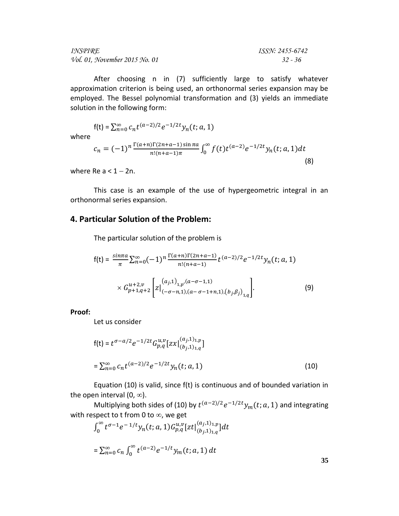| INSPIRE                       | ISSN: 2455-6742 |
|-------------------------------|-----------------|
| Vol. 01, November 2015 No. 01 | $32 - 36$       |

After choosing n in (7) sufficiently large to satisfy whatever approximation criterion is being used, an orthonormal series expansion may be employed. The Bessel polynomial transformation and (3) yields an immediate solution in the following form:

$$
f(t) = \sum_{n=0}^{\infty} c_n t^{(a-2)/2} e^{-1/2t} y_n(t; a, 1)
$$
  
where  

$$
c_n = (-1)^n \frac{\Gamma(a+n)\Gamma(2n+a-1)\sin \pi a}{n!(n+a-1)\pi} \int_0^{\infty} f(t) t^{(a-2)} e^{-1/2t} y_n(t; a, 1) dt
$$
(8)

where Re  $a < 1 - 2n$ .

This case is an example of the use of hypergeometric integral in an orthonormal series expansion.

## **4. Particular Solution of the Problem:**

The particular solution of the problem is

$$
f(t) = \frac{\sin \pi a}{\pi} \sum_{n=0}^{\infty} (-1)^n \frac{\Gamma(a+n)\Gamma(2n+a-1)}{n!(n+a-1)} t^{(a-2)/2} e^{-1/2t} y_n(t; a, 1)
$$

$$
\times G_{p+1,q+2}^{u+2,v} \left[ z \Big|_{(-\sigma-n,1),(a-\sigma-1+n,1),(b_j,\beta_j)}^{(a_j,1)} \right].
$$
(9)

**Proof:** 

Let us consider

$$
f(t) = t^{\sigma - a/2} e^{-1/2t} G_{p,q}^{u,v} [zx|_{(b_j,1)_{1,q}}^{(a_j,1)_{1,p}}]
$$
  
= 
$$
\sum_{n=0}^{\infty} c_n t^{(a-2)/2} e^{-1/2t} y_n(t; a, 1)
$$
 (10)

Equation (10) is valid, since f(t) is continuous and of bounded variation in the open interval (0,  $\infty$ ).

Multiplying both sides of (10) by  $t^{(a-2)/2}e^{-1/2t}y_m(t; a, 1)$  and integrating with respect to t from 0 to  $\infty$ , we get

$$
\int_0^\infty t^{\sigma-1} e^{-1/t} y_n(t; a, 1) G_{p,q}^{u,v} [zt]_{(b_j, 1)_{1,q}}^{(a_j, 1), p}] dt
$$
  
= 
$$
\sum_{n=0}^\infty c_n \int_0^\infty t^{(a-2)} e^{-1/t} y_m(t; a, 1) dt
$$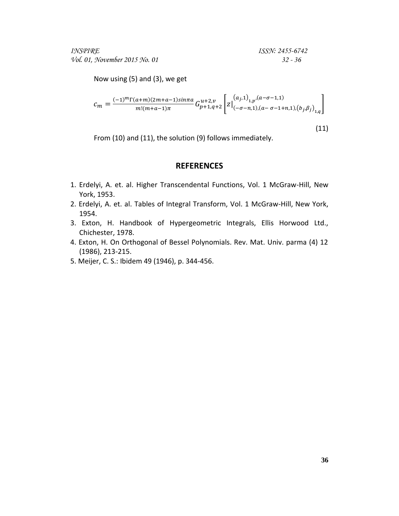$$
ISSN: 2455-6742\n\n32 - 36
$$

Now using (5) and (3), we get

$$
c_m = \frac{(-1)^m \Gamma(a+m)(2m+a-1)\sin \pi a}{m!(m+a-1)\pi} G_{p+1,q+2}^{u+2,v} \left[ z \Big|_{(-\sigma-n,1),(a-\sigma-1+n,1),(b_j,\beta_j)}^{(a_j,1)}(z - a_j,1)} \Big|_{(a_j,1)} \right]
$$
\n(11)

From (10) and (11), the solution (9) follows immediately.

### **REFERENCES**

- 1. Erdelyi, A. et. al. Higher Transcendental Functions, Vol. 1 McGraw-Hill, New York, 1953.
- 2. Erdelyi, A. et. al. Tables of Integral Transform, Vol. 1 McGraw-Hill, New York, 1954.
- 3. Exton, H. Handbook of Hypergeometric Integrals, Ellis Horwood Ltd., Chichester, 1978.
- 4. Exton, H. On Orthogonal of Bessel Polynomials. Rev. Mat. Univ. parma (4) 12 (1986), 213-215.
- 5. Meijer, C. S.: Ibidem 49 (1946), p. 344-456.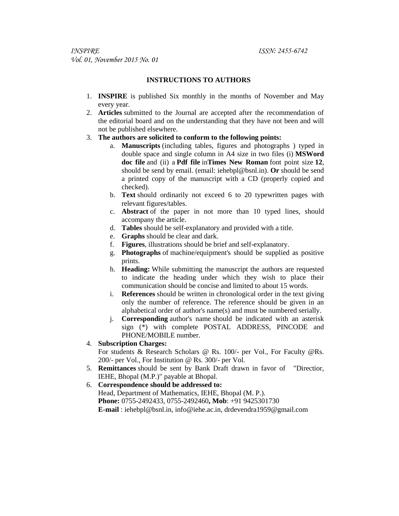#### **INSTRUCTIONS TO AUTHORS**

- 1. **INSPIRE** is published Six monthly in the months of November and May every year.
- 2. **Articles** submitted to the Journal are accepted after the recommendation of the editorial board and on the understanding that they have not been and will not be published elsewhere.
- 3. **The authors are solicited to conform to the following points:**
	- a. **Manuscripts** (including tables, figures and photographs ) typed in double space and single column in A4 size in two files (i) **MSWord doc file** and (ii) a **Pdf file** in**Times New Roman** font point size **12**, should be send by email. (email: iehebpl@bsnl.in). **Or** should be send a printed copy of the manuscript with a CD (properly copied and checked).
	- b. **Text** should ordinarily not exceed 6 to 20 typewritten pages with relevant figures/tables.
	- c. **Abstract** of the paper in not more than 10 typed lines, should accompany the article.
	- d. **Tables** should be self-explanatory and provided with a title.
	- e. **Graphs** should be clear and dark.
	- f. **Figures**, illustrations should be brief and self-explanatory.
	- g. **Photographs** of machine/equipment's should be supplied as positive prints.
	- h. **Heading:** While submitting the manuscript the authors are requested to indicate the heading under which they wish to place their communication should be concise and limited to about 15 words.
	- i. **References** should be written in chronological order in the text giving only the number of reference. The reference should be given in an alphabetical order of author's name(s) and must be numbered serially.
	- j. **Corresponding** author's name should be indicated with an asterisk sign (\*) with complete POSTAL ADDRESS, PINCODE and PHONE/MOBILE number.
- 4. **Subscription Charges:**

For students & Research Scholars @ Rs. 100/- per Vol., For Faculty @Rs. 200/- per Vol., For Institution @ Rs. 300/- per Vol.

5. **Remittances** should be sent by Bank Draft drawn in favor of "Directior, IEHE, Bhopal (M.P.)" payable at Bhopal.

#### 6. **Correspondence should be addressed to:** Head, Department of Mathematics, IEHE, Bhopal (M. P.). **Phone:** 0755-2492433, 0755-2492460**, Mob**: +91 9425301730 **E-mail** : iehebpl@bsnl.in, info@iehe.ac.in, drdevendra1959@gmail.com